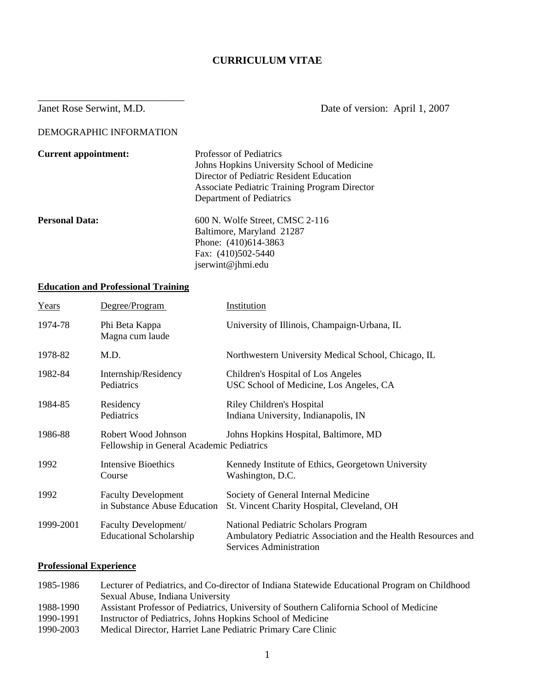# **CURRICULUM VITAE**

Janet Rose Serwint, M.D. Date of version: April 1, 2007

DEMOGRAPHIC INFORMATION

\_\_\_\_\_\_\_\_\_\_\_\_\_\_\_\_\_\_\_\_\_\_\_\_\_\_\_\_

| <b>Current appointment:</b> | Professor of Pediatrics<br>Johns Hopkins University School of Medicine<br>Director of Pediatric Resident Education<br><b>Associate Pediatric Training Program Director</b><br>Department of Pediatrics |
|-----------------------------|--------------------------------------------------------------------------------------------------------------------------------------------------------------------------------------------------------|
| <b>Personal Data:</b>       | $600$ N. Wolfe Street, CMSC 2-116<br>Baltimore, Maryland 21287<br>Phone: (410)614-3863<br>Fax: (410)502-5440<br>jserwint@jhmi.edu                                                                      |

# **Education and Professional Training**

| Years     | Degree/Program                                                   | Institution                                                                                                                            |
|-----------|------------------------------------------------------------------|----------------------------------------------------------------------------------------------------------------------------------------|
| 1974-78   | Phi Beta Kappa<br>Magna cum laude                                | University of Illinois, Champaign-Urbana, IL                                                                                           |
| 1978-82   | M.D.                                                             | Northwestern University Medical School, Chicago, IL                                                                                    |
| 1982-84   | Internship/Residency<br>Pediatrics                               | Children's Hospital of Los Angeles<br>USC School of Medicine, Los Angeles, CA                                                          |
| 1984-85   | Residency<br>Pediatrics                                          | Riley Children's Hospital<br>Indiana University, Indianapolis, IN                                                                      |
| 1986-88   | Robert Wood Johnson<br>Fellowship in General Academic Pediatrics | Johns Hopkins Hospital, Baltimore, MD                                                                                                  |
| 1992      | <b>Intensive Bioethics</b><br>Course                             | Kennedy Institute of Ethics, Georgetown University<br>Washington, D.C.                                                                 |
| 1992      | <b>Faculty Development</b><br>in Substance Abuse Education       | Society of General Internal Medicine<br>St. Vincent Charity Hospital, Cleveland, OH                                                    |
| 1999-2001 | Faculty Development/<br><b>Educational Scholarship</b>           | National Pediatric Scholars Program<br>Ambulatory Pediatric Association and the Health Resources and<br><b>Services Administration</b> |

### **Professional Experience**

| 1985-1986 | Lecturer of Pediatrics, and Co-director of Indiana Statewide Educational Program on Childhood |
|-----------|-----------------------------------------------------------------------------------------------|
|           | Sexual Abuse, Indiana University                                                              |
| 1988-1990 | Assistant Professor of Pediatrics, University of Southern California School of Medicine       |
| 1990-1991 | Instructor of Pediatrics, Johns Hopkins School of Medicine                                    |
| 1990-2003 | Medical Director, Harriet Lane Pediatric Primary Care Clinic                                  |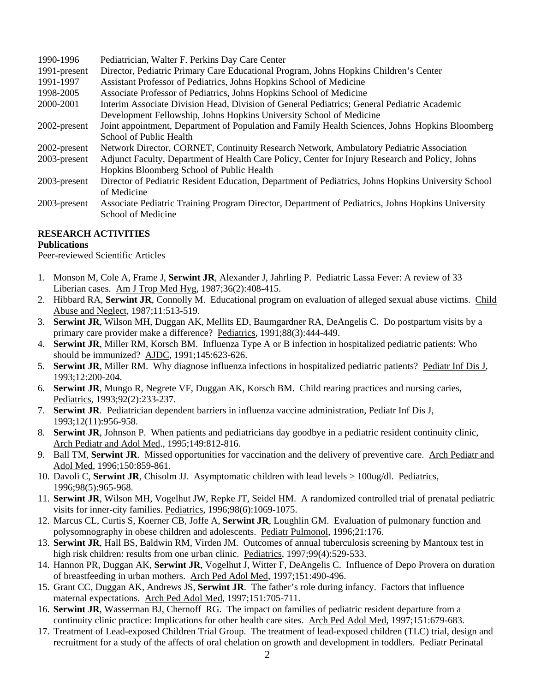| 1990-1996    | Pediatrician, Walter F. Perkins Day Care Center                                                     |
|--------------|-----------------------------------------------------------------------------------------------------|
| 1991-present | Director, Pediatric Primary Care Educational Program, Johns Hopkins Children's Center               |
| 1991-1997    | Assistant Professor of Pediatrics, Johns Hopkins School of Medicine                                 |
| 1998-2005    | Associate Professor of Pediatrics, Johns Hopkins School of Medicine                                 |
| 2000-2001    | Interim Associate Division Head, Division of General Pediatrics; General Pediatric Academic         |
|              | Development Fellowship, Johns Hopkins University School of Medicine                                 |
| 2002-present | Joint appointment, Department of Population and Family Health Sciences, Johns Hopkins Bloomberg     |
|              | School of Public Health                                                                             |
| 2002-present | Network Director, CORNET, Continuity Research Network, Ambulatory Pediatric Association             |
| 2003-present | Adjunct Faculty, Department of Health Care Policy, Center for Injury Research and Policy, Johns     |
|              | Hopkins Bloomberg School of Public Health                                                           |
| 2003-present | Director of Pediatric Resident Education, Department of Pediatrics, Johns Hopkins University School |
|              | of Medicine                                                                                         |
| 2003-present | Associate Pediatric Training Program Director, Department of Pediatrics, Johns Hopkins University   |
|              | School of Medicine                                                                                  |

# **RESEARCH ACTIVITIES**

# **Publications**

Peer-reviewed Scientific Articles

- 1. Monson M, Cole A, Frame J, **Serwint JR**, Alexander J, Jahrling P. Pediatric Lassa Fever: A review of 33 Liberian cases. Am J Trop Med Hyg, 1987;36(2):408-415.
- 2. Hibbard RA, **Serwint JR**, Connolly M. Educational program on evaluation of alleged sexual abuse victims. Child Abuse and Neglect, 1987;11:513-519.
- 3. **Serwint JR**, Wilson MH, Duggan AK, Mellits ED, Baumgardner RA, DeAngelis C. Do postpartum visits by a primary care provider make a difference? Pediatrics, 1991;88(3):444-449.
- 4. **Serwint JR**, Miller RM, Korsch BM. Influenza Type A or B infection in hospitalized pediatric patients: Who should be immunized? AJDC, 1991;145:623-626.
- 5. **Serwint JR**, Miller RM. Why diagnose influenza infections in hospitalized pediatric patients? Pediatr Inf Dis J, 1993;12:200-204.
- 6. **Serwint JR**, Mungo R, Negrete VF, Duggan AK, Korsch BM. Child rearing practices and nursing caries, Pediatrics, 1993;92(2):233-237.
- 7. **Serwint JR**. Pediatrician dependent barriers in influenza vaccine administration, Pediatr Inf Dis J, 1993;12(11):956-958.
- 8. **Serwint JR**, Johnson P. When patients and pediatricians day goodbye in a pediatric resident continuity clinic, Arch Pediatr and Adol Med., 1995;149:812-816.
- 9. Ball TM, **Serwint JR**. Missed opportunities for vaccination and the delivery of preventive care. Arch Pediatr and Adol Med, 1996;150:859-861.
- 10. Davoli C, **Serwint JR**, Chisolm JJ. Asymptomatic children with lead levels > 100ug/dl. Pediatrics, 1996;98(5):965-968.
- 11. **Serwint JR**, Wilson MH, Vogelhut JW, Repke JT, Seidel HM. A randomized controlled trial of prenatal pediatric visits for inner-city families. Pediatrics, 1996;98(6):1069-1075.
- 12. Marcus CL, Curtis S, Koerner CB, Joffe A, **Serwint JR**, Loughlin GM. Evaluation of pulmonary function and polysomnography in obese children and adolescents. Pediatr Pulmonol, 1996;21:176.
- 13. **Serwint JR**, Hall BS, Baldwin RM, Virden JM. Outcomes of annual tuberculosis screening by Mantoux test in high risk children: results from one urban clinic. Pediatrics, 1997;99(4):529-533.
- 14. Hannon PR, Duggan AK, **Serwint JR**, Vogelhut J, Witter F, DeAngelis C. Influence of Depo Provera on duration of breastfeeding in urban mothers. Arch Ped Adol Med, 1997;151:490-496.
- 15. Grant CC, Duggan AK, Andrews JS, **Serwint JR**. The father's role during infancy. Factors that influence maternal expectations. Arch Ped Adol Med, 1997;151:705-711.
- 16. **Serwint JR**, Wasserman BJ, Chernoff RG. The impact on families of pediatric resident departure from a continuity clinic practice: Implications for other health care sites. Arch Ped Adol Med, 1997;151:679-683.
- 17. Treatment of Lead-exposed Children Trial Group. The treatment of lead-exposed children (TLC) trial, design and recruitment for a study of the affects of oral chelation on growth and development in toddlers. Pediatr Perinatal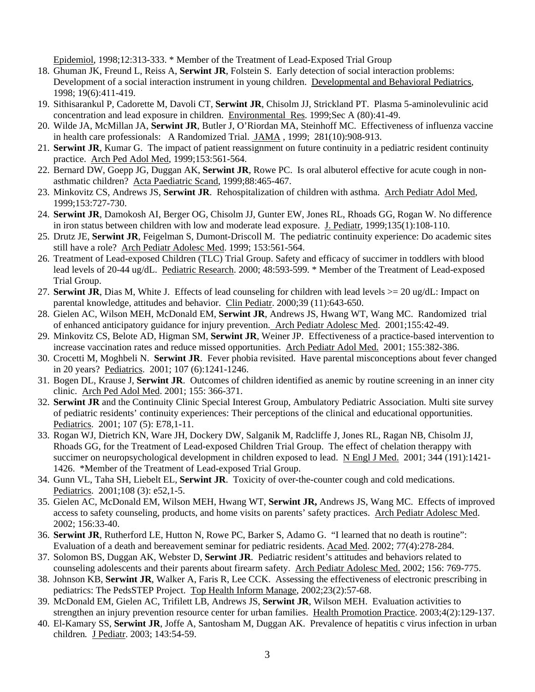Epidemiol, 1998;12:313-333. \* Member of the Treatment of Lead-Exposed Trial Group

- 18. Ghuman JK, Freund L, Reiss A, **Serwint JR**, Folstein S. Early detection of social interaction problems: Development of a social interaction instrument in young children. Developmental and Behavioral Pediatrics, 1998; 19(6):411-419.
- 19. Sithisarankul P, Cadorette M, Davoli CT, **Serwint JR**, Chisolm JJ, Strickland PT. Plasma 5-aminolevulinic acid concentration and lead exposure in children. Environmental Res. 1999;Sec A (80):41-49.
- 20. Wilde JA, McMillan JA, **Serwint JR**, Butler J, O'Riordan MA, Steinhoff MC. Effectiveness of influenza vaccine in health care professionals: A Randomized Trial. JAMA , 1999; 281(10):908-913.
- 21. **Serwint JR**, Kumar G. The impact of patient reassignment on future continuity in a pediatric resident continuity practice. Arch Ped Adol Med, 1999;153:561-564.
- 22. Bernard DW, Goepp JG, Duggan AK, **Serwint JR**, Rowe PC. Is oral albuterol effective for acute cough in nonasthmatic children? Acta Paediatric Scand, 1999;88:465-467.
- 23. Minkovitz CS, Andrews JS, **Serwint JR**. Rehospitalization of children with asthma. Arch Pediatr Adol Med, 1999;153:727-730.
- 24. **Serwint JR**, Damokosh AI, Berger OG, Chisolm JJ, Gunter EW, Jones RL, Rhoads GG, Rogan W. No difference in iron status between children with low and moderate lead exposure. J. Pediatr, 1999;135(1):108-110.
- 25. Drutz JE, **Serwint JR**, Feigelman S, Dumont-Driscoll M. The pediatric continuity experience: Do academic sites still have a role? Arch Pediatr Adolesc Med. 1999; 153:561-564.
- 26. Treatment of Lead-exposed Children (TLC) Trial Group. Safety and efficacy of succimer in toddlers with blood lead levels of 20-44 ug/dL. Pediatric Research. 2000; 48:593-599. \* Member of the Treatment of Lead-exposed Trial Group.
- 27. **Serwint JR**, Dias M, White J. Effects of lead counseling for children with lead levels  $>= 20$  ug/dL: Impact on parental knowledge, attitudes and behavior. Clin Pediatr. 2000;39 (11):643-650.
- 28. Gielen AC, Wilson MEH, McDonald EM, **Serwint JR**, Andrews JS, Hwang WT, Wang MC. Randomized trial of enhanced anticipatory guidance for injury prevention. Arch Pediatr Adolesc Med. 2001;155:42-49.
- 29. Minkovitz CS, Belote AD, Higman SM, **Serwint JR**, Weiner JP. Effectiveness of a practice-based intervention to increase vaccination rates and reduce missed opportunities. Arch Pediatr Adol Med. 2001; 155:382-386.
- 30. Crocetti M, Moghbeli N. **Serwint JR**. Fever phobia revisited. Have parental misconceptions about fever changed in 20 years? Pediatrics. 2001; 107 (6):1241-1246.
- 31. Bogen DL, Krause J, **Serwint JR**. Outcomes of children identified as anemic by routine screening in an inner city clinic. Arch Ped Adol Med. 2001; 155: 366-371.
- 32. **Serwint JR** and the Continuity Clinic Special Interest Group, Ambulatory Pediatric Association. Multi site survey of pediatric residents' continuity experiences: Their perceptions of the clinical and educational opportunities. Pediatrics. 2001; 107 (5): E78,1-11.
- 33. Rogan WJ, Dietrich KN, Ware JH, Dockery DW, Salganik M, Radcliffe J, Jones RL, Ragan NB, Chisolm JJ, Rhoads GG, for the Treatment of Lead-exposed Children Trial Group. The effect of chelation therappy with succimer on neuropsychological development in children exposed to lead. N Engl J Med. 2001; 344 (191):1421- 1426. \*Member of the Treatment of Lead-exposed Trial Group.
- 34. Gunn VL, Taha SH, Liebelt EL, **Serwint JR**. Toxicity of over-the-counter cough and cold medications. Pediatrics. 2001;108 (3): e52,1-5.
- 35. Gielen AC, McDonald EM, Wilson MEH, Hwang WT, **Serwint JR,** Andrews JS, Wang MC. Effects of improved access to safety counseling, products, and home visits on parents' safety practices. Arch Pediatr Adolesc Med. 2002; 156:33-40.
- 36. **Serwint JR**, Rutherford LE, Hutton N, Rowe PC, Barker S, Adamo G. "I learned that no death is routine": Evaluation of a death and bereavement seminar for pediatric residents. Acad Med. 2002; 77(4):278-284.
- 37. Solomon BS, Duggan AK, Webster D, **Serwint JR**. Pediatric resident's attitudes and behaviors related to counseling adolescents and their parents about firearm safety. Arch Pediatr Adolesc Med. 2002; 156: 769-775.
- 38. Johnson KB, **Serwint JR**, Walker A, Faris R, Lee CCK. Assessing the effectiveness of electronic prescribing in pediatrics: The PedsSTEP Project. Top Health Inform Manage, 2002;23(2):57-68.
- 39. McDonald EM, Gielen AC, Trifilett LB, Andrews JS, **Serwint JR**, Wilson MEH. Evaluation activities to strengthen an injury prevention resource center for urban families. Health Promotion Practice. 2003;4(2):129-137.
- 40. El-Kamary SS, **Serwint JR**, Joffe A, Santosham M, Duggan AK. Prevalence of hepatitis c virus infection in urban children*.* J Pediatr. 2003; 143:54-59.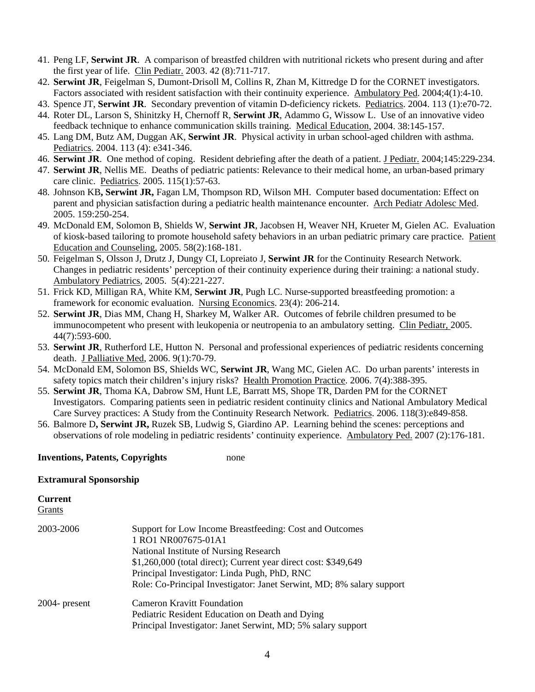- 41. Peng LF, **Serwint JR**. A comparison of breastfed children with nutritional rickets who present during and after the first year of life. Clin Pediatr. 2003. 42 (8):711-717.
- 42. **Serwint JR**, Feigelman S, Dumont-Drisoll M, Collins R, Zhan M, Kittredge D for the CORNET investigators. Factors associated with resident satisfaction with their continuity experience. Ambulatory Ped. 2004;4(1):4-10.
- 43. Spence JT, **Serwint JR**. Secondary prevention of vitamin D-deficiency rickets. Pediatrics. 2004. 113 (1):e70-72.
- 44. Roter DL, Larson S, Shinitzky H, Chernoff R, **Serwint JR**, Adammo G, Wissow L. Use of an innovative video feedback technique to enhance communication skills training. Medical Education, 2004. 38:145-157.
- 45. Lang DM, Butz AM, Duggan AK, **Serwint JR**. Physical activity in urban school-aged children with asthma. Pediatrics. 2004. 113 (4): e341-346.
- 46. Serwint JR. One method of coping. Resident debriefing after the death of a patient. J Pediatr. 2004;145:229-234.
- 47. **Serwint JR**, Nellis ME. Deaths of pediatric patients: Relevance to their medical home, an urban-based primary care clinic. Pediatrics. 2005. 115(1):57-63.
- 48. Johnson KB**, Serwint JR,** Fagan LM, Thompson RD, Wilson MH. Computer based documentation: Effect on parent and physician satisfaction during a pediatric health maintenance encounter. Arch Pediatr Adolesc Med. 2005. 159:250-254.
- 49. McDonald EM, Solomon B, Shields W, **Serwint JR**, Jacobsen H, Weaver NH, Krueter M, Gielen AC. Evaluation of kiosk-based tailoring to promote household safety behaviors in an urban pediatric primary care practice. Patient Education and Counseling, 2005. 58(2):168-181.
- 50. Feigelman S, Olsson J, Drutz J, Dungy CI, Lopreiato J, **Serwint JR** for the Continuity Research Network. Changes in pediatric residents' perception of their continuity experience during their training: a national study. Ambulatory Pediatrics, 2005. 5(4):221-227.
- 51. Frick KD, Milligan RA, White KM, **Serwint JR**, Pugh LC. Nurse-supported breastfeeding promotion: a framework for economic evaluation. Nursing Economics. 23(4): 206-214.
- 52. **Serwint JR**, Dias MM, Chang H, Sharkey M, Walker AR. Outcomes of febrile children presumed to be immunocompetent who present with leukopenia or neutropenia to an ambulatory setting. Clin Pediatr, 2005. 44(7):593-600.
- 53. **Serwint JR**, Rutherford LE, Hutton N. Personal and professional experiences of pediatric residents concerning death. J Palliative Med, 2006. 9(1):70-79.
- 54. McDonald EM, Solomon BS, Shields WC, **Serwint JR**, Wang MC, Gielen AC. Do urban parents' interests in safety topics match their children's injury risks? Health Promotion Practice. 2006. 7(4):388-395.
- 55. **Serwint JR**, Thoma KA, Dabrow SM, Hunt LE, Barratt MS, Shope TR, Darden PM for the CORNET Investigators. Comparing patients seen in pediatric resident continuity clinics and National Ambulatory Medical Care Survey practices: A Study from the Continuity Research Network. Pediatrics. 2006. 118(3):e849-858.
- 56. Balmore D**, Serwint JR,** Ruzek SB, Ludwig S, Giardino AP. Learning behind the scenes: perceptions and observations of role modeling in pediatric residents' continuity experience. Ambulatory Ped. 2007 (2):176-181.

### **Inventions, Patents, Copyrights** none

#### **Extramural Sponsorship**

# **Current**

Grants

| 2003-2006        | Support for Low Income Breastfeeding: Cost and Outcomes               |
|------------------|-----------------------------------------------------------------------|
|                  |                                                                       |
|                  | 1 RO1 NR007675-01A1                                                   |
|                  | National Institute of Nursing Research                                |
|                  | \$1,260,000 (total direct); Current year direct cost: \$349,649       |
|                  | Principal Investigator: Linda Pugh, PhD, RNC                          |
|                  | Role: Co-Principal Investigator: Janet Serwint, MD; 8% salary support |
| $2004$ - present | <b>Cameron Kravitt Foundation</b>                                     |
|                  | Pediatric Resident Education on Death and Dying                       |
|                  | Principal Investigator: Janet Serwint, MD; 5% salary support          |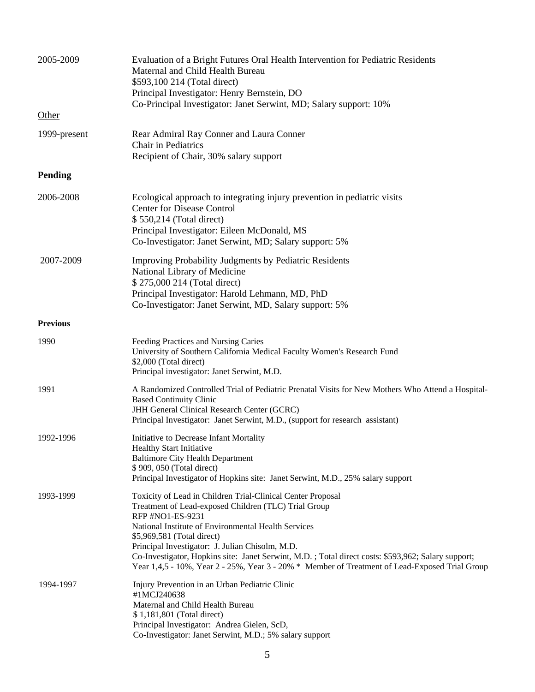| 2005-2009       | Evaluation of a Bright Futures Oral Health Intervention for Pediatric Residents<br>Maternal and Child Health Bureau<br>\$593,100 214 (Total direct)<br>Principal Investigator: Henry Bernstein, DO                                                                                                                                                                                                                                                                                      |
|-----------------|-----------------------------------------------------------------------------------------------------------------------------------------------------------------------------------------------------------------------------------------------------------------------------------------------------------------------------------------------------------------------------------------------------------------------------------------------------------------------------------------|
|                 | Co-Principal Investigator: Janet Serwint, MD; Salary support: 10%                                                                                                                                                                                                                                                                                                                                                                                                                       |
| Other           |                                                                                                                                                                                                                                                                                                                                                                                                                                                                                         |
| 1999-present    | Rear Admiral Ray Conner and Laura Conner<br>Chair in Pediatrics<br>Recipient of Chair, 30% salary support                                                                                                                                                                                                                                                                                                                                                                               |
| <b>Pending</b>  |                                                                                                                                                                                                                                                                                                                                                                                                                                                                                         |
| 2006-2008       | Ecological approach to integrating injury prevention in pediatric visits<br><b>Center for Disease Control</b><br>\$550,214 (Total direct)<br>Principal Investigator: Eileen McDonald, MS<br>Co-Investigator: Janet Serwint, MD; Salary support: 5%                                                                                                                                                                                                                                      |
| 2007-2009       | Improving Probability Judgments by Pediatric Residents<br>National Library of Medicine<br>\$275,000 214 (Total direct)<br>Principal Investigator: Harold Lehmann, MD, PhD<br>Co-Investigator: Janet Serwint, MD, Salary support: 5%                                                                                                                                                                                                                                                     |
| <b>Previous</b> |                                                                                                                                                                                                                                                                                                                                                                                                                                                                                         |
| 1990            | Feeding Practices and Nursing Caries<br>University of Southern California Medical Faculty Women's Research Fund<br>\$2,000 (Total direct)<br>Principal investigator: Janet Serwint, M.D.                                                                                                                                                                                                                                                                                                |
| 1991            | A Randomized Controlled Trial of Pediatric Prenatal Visits for New Mothers Who Attend a Hospital-<br><b>Based Continuity Clinic</b><br>JHH General Clinical Research Center (GCRC)<br>Principal Investigator: Janet Serwint, M.D., (support for research assistant)                                                                                                                                                                                                                     |
| 1992-1996       | Initiative to Decrease Infant Mortality<br><b>Healthy Start Initiative</b><br><b>Baltimore City Health Department</b><br>\$909,050 (Total direct)<br>Principal Investigator of Hopkins site: Janet Serwint, M.D., 25% salary support                                                                                                                                                                                                                                                    |
| 1993-1999       | Toxicity of Lead in Children Trial-Clinical Center Proposal<br>Treatment of Lead-exposed Children (TLC) Trial Group<br>RFP #NO1-ES-9231<br>National Institute of Environmental Health Services<br>\$5,969,581 (Total direct)<br>Principal Investigator: J. Julian Chisolm, M.D.<br>Co-Investigator, Hopkins site: Janet Serwint, M.D.; Total direct costs: \$593,962; Salary support;<br>Year 1,4,5 - 10%, Year 2 - 25%, Year 3 - 20% * Member of Treatment of Lead-Exposed Trial Group |
| 1994-1997       | Injury Prevention in an Urban Pediatric Clinic<br>#1MCJ240638<br>Maternal and Child Health Bureau<br>\$1,181,801 (Total direct)<br>Principal Investigator: Andrea Gielen, ScD,<br>Co-Investigator: Janet Serwint, M.D.; 5% salary support                                                                                                                                                                                                                                               |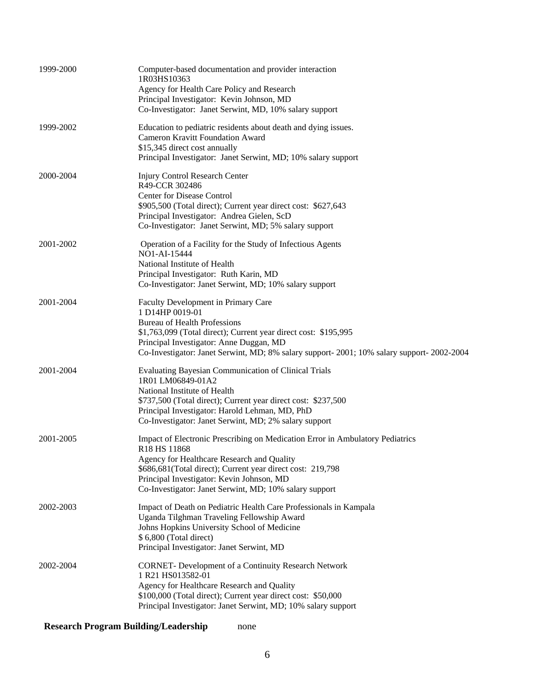| 1999-2000 | Computer-based documentation and provider interaction<br>1R03HS10363<br>Agency for Health Care Policy and Research<br>Principal Investigator: Kevin Johnson, MD<br>Co-Investigator: Janet Serwint, MD, 10% salary support                                                                                        |
|-----------|------------------------------------------------------------------------------------------------------------------------------------------------------------------------------------------------------------------------------------------------------------------------------------------------------------------|
| 1999-2002 | Education to pediatric residents about death and dying issues.<br><b>Cameron Kravitt Foundation Award</b><br>\$15,345 direct cost annually<br>Principal Investigator: Janet Serwint, MD; 10% salary support                                                                                                      |
| 2000-2004 | Injury Control Research Center<br>R49-CCR 302486<br>Center for Disease Control<br>\$905,500 (Total direct); Current year direct cost: \$627,643<br>Principal Investigator: Andrea Gielen, ScD<br>Co-Investigator: Janet Serwint, MD; 5% salary support                                                           |
| 2001-2002 | Operation of a Facility for the Study of Infectious Agents<br>NO1-AI-15444<br>National Institute of Health<br>Principal Investigator: Ruth Karin, MD<br>Co-Investigator: Janet Serwint, MD; 10% salary support                                                                                                   |
| 2001-2004 | Faculty Development in Primary Care<br>1 D14HP 0019-01<br><b>Bureau of Health Professions</b><br>\$1,763,099 (Total direct); Current year direct cost: \$195,995<br>Principal Investigator: Anne Duggan, MD<br>Co-Investigator: Janet Serwint, MD; 8% salary support- 2001; 10% salary support- 2002-2004        |
| 2001-2004 | <b>Evaluating Bayesian Communication of Clinical Trials</b><br>1R01 LM06849-01A2<br>National Institute of Health<br>\$737,500 (Total direct); Current year direct cost: \$237,500<br>Principal Investigator: Harold Lehman, MD, PhD<br>Co-Investigator: Janet Serwint, MD; 2% salary support                     |
| 2001-2005 | Impact of Electronic Prescribing on Medication Error in Ambulatory Pediatrics<br>R18 HS 11868<br>Agency for Healthcare Research and Quality<br>\$686,681(Total direct); Current year direct cost: 219,798<br>Principal Investigator: Kevin Johnson, MD<br>Co-Investigator: Janet Serwint, MD; 10% salary support |
| 2002-2003 | Impact of Death on Pediatric Health Care Professionals in Kampala<br>Uganda Tilghman Traveling Fellowship Award<br>Johns Hopkins University School of Medicine<br>\$ 6,800 (Total direct)<br>Principal Investigator: Janet Serwint, MD                                                                           |
| 2002-2004 | <b>CORNET-</b> Development of a Continuity Research Network<br>1 R21 HS013582-01<br>Agency for Healthcare Research and Quality<br>\$100,000 (Total direct); Current year direct cost: \$50,000<br>Principal Investigator: Janet Serwint, MD; 10% salary support                                                  |

**Research Program Building/Leadership** none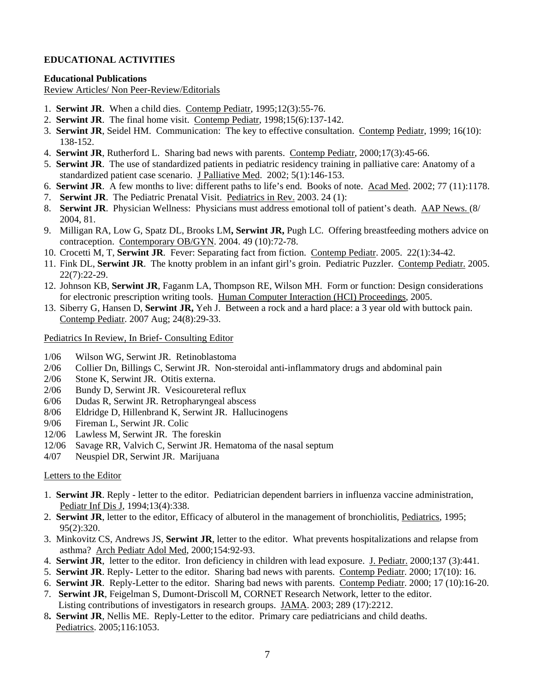# **EDUCATIONAL ACTIVITIES**

### **Educational Publications**

Review Articles/ Non Peer-Review/Editorials

- 1. **Serwint JR**. When a child dies. Contemp Pediatr, 1995;12(3):55-76.
- 2. **Serwint JR**. The final home visit. Contemp Pediatr, 1998;15(6):137-142.
- 3. **Serwint JR**, Seidel HM. Communication: The key to effective consultation. Contemp Pediatr, 1999; 16(10): 138-152.
- 4. **Serwint JR**, Rutherford L. Sharing bad news with parents. Contemp Pediatr, 2000;17(3):45-66.
- 5. **Serwint JR**. The use of standardized patients in pediatric residency training in palliative care: Anatomy of a standardized patient case scenario. J Palliative Med. 2002; 5(1):146-153.
- 6. **Serwint JR**. A few months to live: different paths to life's end. Books of note. Acad Med. 2002; 77 (11):1178.
- 7. **Serwint JR**. The Pediatric Prenatal Visit. Pediatrics in Rev. 2003. 24 (1):
- 8. **Serwint JR**. Physician Wellness: Physicians must address emotional toll of patient's death. AAP News. (8/ 2004, 81.
- 9. Milligan RA, Low G, Spatz DL, Brooks LM**, Serwint JR,** Pugh LC. Offering breastfeeding mothers advice on contraception. Contemporary OB/GYN. 2004. 49 (10):72-78.
- 10. Crocetti M, T, **Serwint JR**. Fever: Separating fact from fiction. Contemp Pediatr. 2005. 22(1):34-42.
- 11. Fink DL, **Serwint JR**. The knotty problem in an infant girl's groin. Pediatric Puzzler. Contemp Pediatr. 2005. 22(7):22-29.
- 12. Johnson KB, **Serwint JR**, Faganm LA, Thompson RE, Wilson MH. Form or function: Design considerations for electronic prescription writing tools. Human Computer Interaction (HCI) Proceedings, 2005.
- 13. Siberry G, Hansen D, **Serwint JR,** Yeh J. Between a rock and a hard place: a 3 year old with buttock pain. Contemp Pediatr. 2007 Aug; 24(8):29-33.

### Pediatrics In Review, In Brief- Consulting Editor

- 1/06 Wilson WG, Serwint JR. Retinoblastoma
- 2/06 Collier Dn, Billings C, Serwint JR. Non-steroidal anti-inflammatory drugs and abdominal pain
- 2/06 Stone K, Serwint JR. Otitis externa.
- 2/06 Bundy D, Serwint JR. Vesicoureteral reflux
- 6/06 Dudas R, Serwint JR. Retropharyngeal abscess
- 8/06 Eldridge D, Hillenbrand K, Serwint JR. Hallucinogens
- 9/06 Fireman L, Serwint JR. Colic
- 12/06 Lawless M, Serwint JR. The foreskin
- 12/06 Savage RR, Valvich C, Serwint JR. Hematoma of the nasal septum
- 4/07 Neuspiel DR, Serwint JR. Marijuana

#### Letters to the Editor

- 1. **Serwint JR**. Reply letter to the editor. Pediatrician dependent barriers in influenza vaccine administration, Pediatr Inf Dis J, 1994;13(4):338.
- 2. **Serwint JR**, letter to the editor, Efficacy of albuterol in the management of bronchiolitis, Pediatrics, 1995; 95(2):320.
- 3. Minkovitz CS, Andrews JS, **Serwint JR**, letter to the editor. What prevents hospitalizations and relapse from asthma? Arch Pediatr Adol Med, 2000;154:92-93.
- 4. **Serwint JR**, letter to the editor. Iron deficiency in children with lead exposure. J. Pediatr. 2000;137 (3):441.
- 5. **Serwint JR**. Reply- Letter to the editor. Sharing bad news with parents. Contemp Pediatr. 2000; 17(10): 16.
- 6. **Serwint JR**. Reply-Letter to the editor. Sharing bad news with parents. Contemp Pediatr. 2000; 17 (10):16-20.
- 7. **Serwint JR**, Feigelman S, Dumont-Driscoll M, CORNET Research Network, letter to the editor. Listing contributions of investigators in research groups. JAMA. 2003; 289 (17):2212.
- 8**. Serwint JR**, Nellis ME. Reply-Letter to the editor. Primary care pediatricians and child deaths. Pediatrics. 2005;116:1053.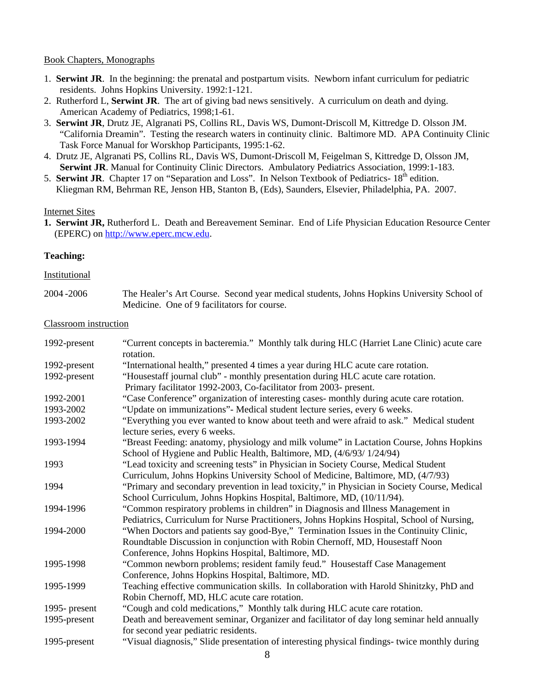### Book Chapters, Monographs

- 1. **Serwint JR**. In the beginning: the prenatal and postpartum visits. Newborn infant curriculum for pediatric residents. Johns Hopkins University. 1992:1-121.
- 2. Rutherford L, **Serwint JR**. The art of giving bad news sensitively. A curriculum on death and dying. American Academy of Pediatrics, 1998;1-61.
- 3. **Serwint JR**, Drutz JE, Algranati PS, Collins RL, Davis WS, Dumont-Driscoll M, Kittredge D. Olsson JM. "California Dreamin". Testing the research waters in continuity clinic. Baltimore MD. APA Continuity Clinic Task Force Manual for Worskhop Participants, 1995:1-62.
- 4. Drutz JE, Algranati PS, Collins RL, Davis WS, Dumont-Driscoll M, Feigelman S, Kittredge D, Olsson JM, **Serwint JR**. Manual for Continuity Clinic Directors. Ambulatory Pediatrics Association, 1999:1-183.
- 5. **Serwint JR.** Chapter 17 on "Separation and Loss". In Nelson Textbook of Pediatrics- 18<sup>th</sup> edition. Kliegman RM, Behrman RE, Jenson HB, Stanton B, (Eds), Saunders, Elsevier, Philadelphia, PA. 2007.

### Internet Sites

**1. Serwint JR,** Rutherford L. Death and Bereavement Seminar. End of Life Physician Education Resource Center (EPERC) on [http://www.eperc.mcw.edu.](http://www.eperc.mcw.edu/)

### **Teaching:**

#### Institutional

| 2004-2006 | The Healer's Art Course. Second year medical students, Johns Hopkins University School of |
|-----------|-------------------------------------------------------------------------------------------|
|           | Medicine. One of 9 facilitators for course.                                               |

### Classroom instruction

| 1992-present | "Current concepts in bacteremia." Monthly talk during HLC (Harriet Lane Clinic) acute care<br>rotation.                    |
|--------------|----------------------------------------------------------------------------------------------------------------------------|
| 1992-present | "International health," presented 4 times a year during HLC acute care rotation.                                           |
| 1992-present | "Housestaff journal club" - monthly presentation during HLC acute care rotation.                                           |
|              | Primary facilitator 1992-2003, Co-facilitator from 2003- present.                                                          |
| 1992-2001    | "Case Conference" organization of interesting cases- monthly during acute care rotation.                                   |
| 1993-2002    | "Update on immunizations"- Medical student lecture series, every 6 weeks.                                                  |
| 1993-2002    | "Everything you ever wanted to know about teeth and were afraid to ask." Medical student<br>lecture series, every 6 weeks. |
| 1993-1994    | "Breast Feeding: anatomy, physiology and milk volume" in Lactation Course, Johns Hopkins                                   |
|              | School of Hygiene and Public Health, Baltimore, MD, (4/6/93/1/24/94)                                                       |
| 1993         | "Lead toxicity and screening tests" in Physician in Society Course, Medical Student                                        |
|              | Curriculum, Johns Hopkins University School of Medicine, Baltimore, MD, (4/7/93)                                           |
| 1994         | "Primary and secondary prevention in lead toxicity," in Physician in Society Course, Medical                               |
|              | School Curriculum, Johns Hopkins Hospital, Baltimore, MD, (10/11/94).                                                      |
| 1994-1996    | "Common respiratory problems in children" in Diagnosis and Illness Management in                                           |
|              | Pediatrics, Curriculum for Nurse Practitioners, Johns Hopkins Hospital, School of Nursing,                                 |
| 1994-2000    | "When Doctors and patients say good-Bye," Termination Issues in the Continuity Clinic,                                     |
|              | Roundtable Discussion in conjunction with Robin Chernoff, MD, Housestaff Noon                                              |
|              | Conference, Johns Hopkins Hospital, Baltimore, MD.                                                                         |
| 1995-1998    | "Common newborn problems; resident family feud." Housestaff Case Management                                                |
|              | Conference, Johns Hopkins Hospital, Baltimore, MD.                                                                         |
| 1995-1999    | Teaching effective communication skills. In collaboration with Harold Shinitzky, PhD and                                   |
|              | Robin Chernoff, MD, HLC acute care rotation.                                                                               |
| 1995-present | "Cough and cold medications," Monthly talk during HLC acute care rotation.                                                 |
| 1995-present | Death and bereavement seminar, Organizer and facilitator of day long seminar held annually                                 |
|              | for second year pediatric residents.                                                                                       |
| 1995-present | "Visual diagnosis," Slide presentation of interesting physical findings- twice monthly during                              |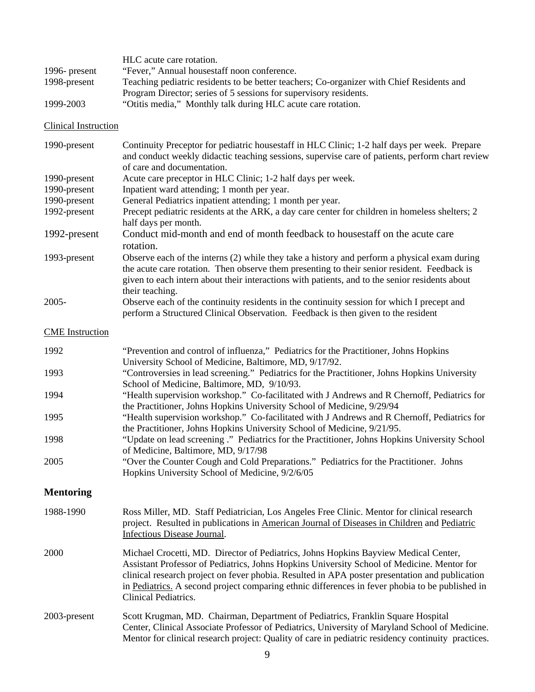| 1996- present<br>1998-present | HLC acute care rotation.<br>"Fever," Annual housestaff noon conference.<br>Teaching pediatric residents to be better teachers; Co-organizer with Chief Residents and<br>Program Director; series of 5 sessions for supervisory residents.                                                                                                                                                                      |
|-------------------------------|----------------------------------------------------------------------------------------------------------------------------------------------------------------------------------------------------------------------------------------------------------------------------------------------------------------------------------------------------------------------------------------------------------------|
| 1999-2003                     | "Otitis media," Monthly talk during HLC acute care rotation.                                                                                                                                                                                                                                                                                                                                                   |
| Clinical Instruction          |                                                                                                                                                                                                                                                                                                                                                                                                                |
| 1990-present                  | Continuity Preceptor for pediatric housestaff in HLC Clinic; 1-2 half days per week. Prepare<br>and conduct weekly didactic teaching sessions, supervise care of patients, perform chart review<br>of care and documentation.                                                                                                                                                                                  |
| 1990-present<br>1990-present  | Acute care preceptor in HLC Clinic; 1-2 half days per week.<br>Inpatient ward attending; 1 month per year.                                                                                                                                                                                                                                                                                                     |
| 1990-present                  | General Pediatrics inpatient attending; 1 month per year.                                                                                                                                                                                                                                                                                                                                                      |
| 1992-present                  | Precept pediatric residents at the ARK, a day care center for children in homeless shelters; 2<br>half days per month.                                                                                                                                                                                                                                                                                         |
| 1992-present                  | Conduct mid-month and end of month feedback to housestaff on the acute care<br>rotation.                                                                                                                                                                                                                                                                                                                       |
| 1993-present                  | Observe each of the interns (2) while they take a history and perform a physical exam during<br>the acute care rotation. Then observe them presenting to their senior resident. Feedback is<br>given to each intern about their interactions with patients, and to the senior residents about<br>their teaching.                                                                                               |
| $2005 -$                      | Observe each of the continuity residents in the continuity session for which I precept and<br>perform a Structured Clinical Observation. Feedback is then given to the resident                                                                                                                                                                                                                                |
| <b>CME</b> Instruction        |                                                                                                                                                                                                                                                                                                                                                                                                                |
| 1992                          | "Prevention and control of influenza," Pediatrics for the Practitioner, Johns Hopkins<br>University School of Medicine, Baltimore, MD, 9/17/92.                                                                                                                                                                                                                                                                |
| 1993                          | "Controversies in lead screening." Pediatrics for the Practitioner, Johns Hopkins University<br>School of Medicine, Baltimore, MD, 9/10/93.                                                                                                                                                                                                                                                                    |
| 1994                          | "Health supervision workshop." Co-facilitated with J Andrews and R Chernoff, Pediatrics for<br>the Practitioner, Johns Hopkins University School of Medicine, 9/29/94                                                                                                                                                                                                                                          |
| 1995                          | "Health supervision workshop." Co-facilitated with J Andrews and R Chernoff, Pediatrics for<br>the Practitioner, Johns Hopkins University School of Medicine, 9/21/95.                                                                                                                                                                                                                                         |
| 1998                          | "Update on lead screening ." Pediatrics for the Practitioner, Johns Hopkins University School<br>of Medicine, Baltimore, MD, 9/17/98                                                                                                                                                                                                                                                                           |
| 2005                          | "Over the Counter Cough and Cold Preparations." Pediatrics for the Practitioner. Johns<br>Hopkins University School of Medicine, 9/2/6/05                                                                                                                                                                                                                                                                      |
| <b>Mentoring</b>              |                                                                                                                                                                                                                                                                                                                                                                                                                |
| 1988-1990                     | Ross Miller, MD. Staff Pediatrician, Los Angeles Free Clinic. Mentor for clinical research<br>project. Resulted in publications in American Journal of Diseases in Children and Pediatric<br>Infectious Disease Journal.                                                                                                                                                                                       |
| 2000                          | Michael Crocetti, MD. Director of Pediatrics, Johns Hopkins Bayview Medical Center,<br>Assistant Professor of Pediatrics, Johns Hopkins University School of Medicine. Mentor for<br>clinical research project on fever phobia. Resulted in APA poster presentation and publication<br>in Pediatrics. A second project comparing ethnic differences in fever phobia to be published in<br>Clinical Pediatrics. |
| 2003-present                  | Scott Krugman, MD. Chairman, Department of Pediatrics, Franklin Square Hospital<br>Center, Clinical Associate Professor of Pediatrics, University of Maryland School of Medicine.<br>Mentor for clinical research project: Quality of care in pediatric residency continuity practices.                                                                                                                        |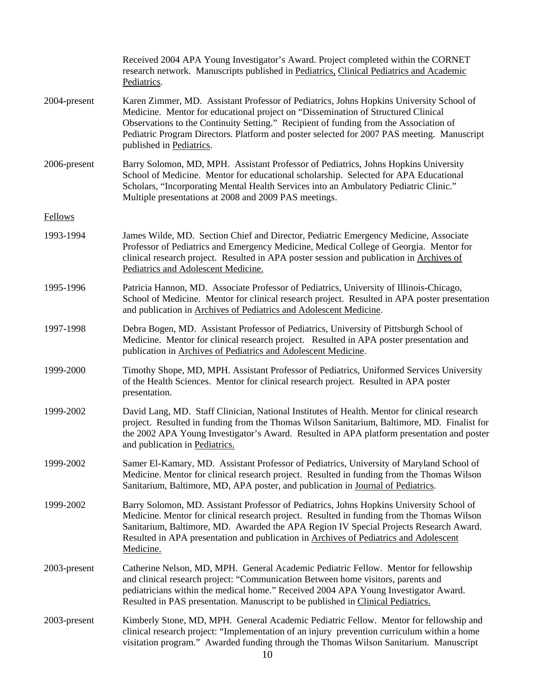|                | Received 2004 APA Young Investigator's Award. Project completed within the CORNET<br>research network. Manuscripts published in Pediatrics, Clinical Pediatrics and Academic<br>Pediatrics.                                                                                                                                                                                                     |
|----------------|-------------------------------------------------------------------------------------------------------------------------------------------------------------------------------------------------------------------------------------------------------------------------------------------------------------------------------------------------------------------------------------------------|
| 2004-present   | Karen Zimmer, MD. Assistant Professor of Pediatrics, Johns Hopkins University School of<br>Medicine. Mentor for educational project on "Dissemination of Structured Clinical<br>Observations to the Continuity Setting." Recipient of funding from the Association of<br>Pediatric Program Directors. Platform and poster selected for 2007 PAS meeting. Manuscript<br>published in Pediatrics. |
| 2006-present   | Barry Solomon, MD, MPH. Assistant Professor of Pediatrics, Johns Hopkins University<br>School of Medicine. Mentor for educational scholarship. Selected for APA Educational<br>Scholars, "Incorporating Mental Health Services into an Ambulatory Pediatric Clinic."<br>Multiple presentations at 2008 and 2009 PAS meetings.                                                                   |
| <b>Fellows</b> |                                                                                                                                                                                                                                                                                                                                                                                                 |
| 1993-1994      | James Wilde, MD. Section Chief and Director, Pediatric Emergency Medicine, Associate<br>Professor of Pediatrics and Emergency Medicine, Medical College of Georgia. Mentor for<br>clinical research project. Resulted in APA poster session and publication in Archives of<br>Pediatrics and Adolescent Medicine.                                                                               |
| 1995-1996      | Patricia Hannon, MD. Associate Professor of Pediatrics, University of Illinois-Chicago,<br>School of Medicine. Mentor for clinical research project. Resulted in APA poster presentation<br>and publication in Archives of Pediatrics and Adolescent Medicine.                                                                                                                                  |
| 1997-1998      | Debra Bogen, MD. Assistant Professor of Pediatrics, University of Pittsburgh School of<br>Medicine. Mentor for clinical research project. Resulted in APA poster presentation and<br>publication in Archives of Pediatrics and Adolescent Medicine.                                                                                                                                             |
| 1999-2000      | Timothy Shope, MD, MPH. Assistant Professor of Pediatrics, Uniformed Services University<br>of the Health Sciences. Mentor for clinical research project. Resulted in APA poster<br>presentation.                                                                                                                                                                                               |
| 1999-2002      | David Lang, MD. Staff Clinician, National Institutes of Health. Mentor for clinical research<br>project. Resulted in funding from the Thomas Wilson Sanitarium, Baltimore, MD. Finalist for<br>the 2002 APA Young Investigator's Award. Resulted in APA platform presentation and poster<br>and publication in Pediatrics.                                                                      |
| 1999-2002      | Samer El-Kamary, MD. Assistant Professor of Pediatrics, University of Maryland School of<br>Medicine. Mentor for clinical research project. Resulted in funding from the Thomas Wilson<br>Sanitarium, Baltimore, MD, APA poster, and publication in Journal of Pediatrics.                                                                                                                      |
| 1999-2002      | Barry Solomon, MD. Assistant Professor of Pediatrics, Johns Hopkins University School of<br>Medicine. Mentor for clinical research project. Resulted in funding from the Thomas Wilson<br>Sanitarium, Baltimore, MD. Awarded the APA Region IV Special Projects Research Award.<br>Resulted in APA presentation and publication in Archives of Pediatrics and Adolescent<br>Medicine.           |
| 2003-present   | Catherine Nelson, MD, MPH. General Academic Pediatric Fellow. Mentor for fellowship<br>and clinical research project: "Communication Between home visitors, parents and<br>pediatricians within the medical home." Received 2004 APA Young Investigator Award.<br>Resulted in PAS presentation. Manuscript to be published in Clinical Pediatrics.                                              |
| 2003-present   | Kimberly Stone, MD, MPH. General Academic Pediatric Fellow. Mentor for fellowship and<br>clinical research project: "Implementation of an injury prevention curriculum within a home<br>visitation program." Awarded funding through the Thomas Wilson Sanitarium. Manuscript                                                                                                                   |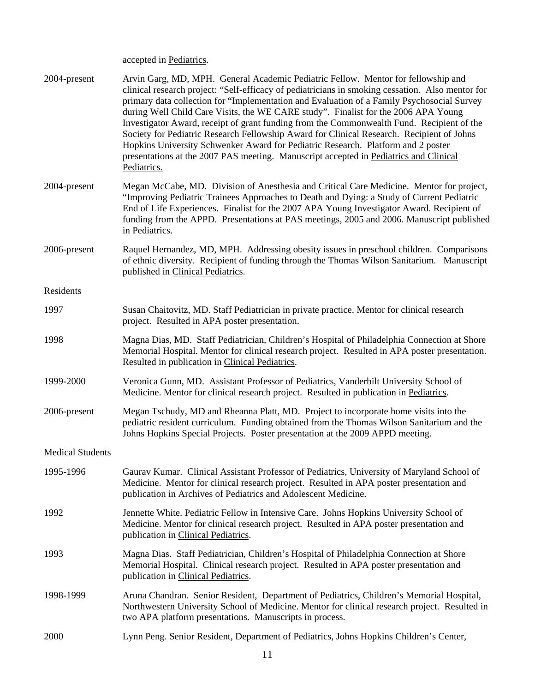accepted in Pediatrics.

| 2004-present            | Arvin Garg, MD, MPH. General Academic Pediatric Fellow. Mentor for fellowship and<br>clinical research project: "Self-efficacy of pediatricians in smoking cessation. Also mentor for<br>primary data collection for "Implementation and Evaluation of a Family Psychosocial Survey<br>during Well Child Care Visits, the WE CARE study". Finalist for the 2006 APA Young<br>Investigator Award, receipt of grant funding from the Commonwealth Fund. Recipient of the<br>Society for Pediatric Research Fellowship Award for Clinical Research. Recipient of Johns<br>Hopkins University Schwenker Award for Pediatric Research. Platform and 2 poster<br>presentations at the 2007 PAS meeting. Manuscript accepted in Pediatrics and Clinical<br>Pediatrics. |
|-------------------------|-----------------------------------------------------------------------------------------------------------------------------------------------------------------------------------------------------------------------------------------------------------------------------------------------------------------------------------------------------------------------------------------------------------------------------------------------------------------------------------------------------------------------------------------------------------------------------------------------------------------------------------------------------------------------------------------------------------------------------------------------------------------|
| 2004-present            | Megan McCabe, MD. Division of Anesthesia and Critical Care Medicine. Mentor for project,<br>"Improving Pediatric Trainees Approaches to Death and Dying: a Study of Current Pediatric<br>End of Life Experiences. Finalist for the 2007 APA Young Investigator Award. Recipient of<br>funding from the APPD. Presentations at PAS meetings, 2005 and 2006. Manuscript published<br>in Pediatrics.                                                                                                                                                                                                                                                                                                                                                               |
| 2006-present            | Raquel Hernandez, MD, MPH. Addressing obesity issues in preschool children. Comparisons<br>of ethnic diversity. Recipient of funding through the Thomas Wilson Sanitarium. Manuscript<br>published in Clinical Pediatrics.                                                                                                                                                                                                                                                                                                                                                                                                                                                                                                                                      |
| Residents               |                                                                                                                                                                                                                                                                                                                                                                                                                                                                                                                                                                                                                                                                                                                                                                 |
| 1997                    | Susan Chaitovitz, MD. Staff Pediatrician in private practice. Mentor for clinical research<br>project. Resulted in APA poster presentation.                                                                                                                                                                                                                                                                                                                                                                                                                                                                                                                                                                                                                     |
| 1998                    | Magna Dias, MD. Staff Pediatrician, Children's Hospital of Philadelphia Connection at Shore<br>Memorial Hospital. Mentor for clinical research project. Resulted in APA poster presentation.<br>Resulted in publication in Clinical Pediatrics.                                                                                                                                                                                                                                                                                                                                                                                                                                                                                                                 |
| 1999-2000               | Veronica Gunn, MD. Assistant Professor of Pediatrics, Vanderbilt University School of<br>Medicine. Mentor for clinical research project. Resulted in publication in Pediatrics.                                                                                                                                                                                                                                                                                                                                                                                                                                                                                                                                                                                 |
| 2006-present            | Megan Tschudy, MD and Rheanna Platt, MD. Project to incorporate home visits into the<br>pediatric resident curriculum. Funding obtained from the Thomas Wilson Sanitarium and the<br>Johns Hopkins Special Projects. Poster presentation at the 2009 APPD meeting.                                                                                                                                                                                                                                                                                                                                                                                                                                                                                              |
| <b>Medical Students</b> |                                                                                                                                                                                                                                                                                                                                                                                                                                                                                                                                                                                                                                                                                                                                                                 |
| 1995-1996               | Gaurav Kumar. Clinical Assistant Professor of Pediatrics, University of Maryland School of<br>Medicine. Mentor for clinical research project. Resulted in APA poster presentation and<br>publication in Archives of Pediatrics and Adolescent Medicine.                                                                                                                                                                                                                                                                                                                                                                                                                                                                                                         |
| 1992                    | Jennette White. Pediatric Fellow in Intensive Care. Johns Hopkins University School of<br>Medicine. Mentor for clinical research project. Resulted in APA poster presentation and<br>publication in Clinical Pediatrics.                                                                                                                                                                                                                                                                                                                                                                                                                                                                                                                                        |
| 1993                    | Magna Dias. Staff Pediatrician, Children's Hospital of Philadelphia Connection at Shore<br>Memorial Hospital. Clinical research project. Resulted in APA poster presentation and<br>publication in Clinical Pediatrics.                                                                                                                                                                                                                                                                                                                                                                                                                                                                                                                                         |
| 1998-1999               | Aruna Chandran. Senior Resident, Department of Pediatrics, Children's Memorial Hospital,<br>Northwestern University School of Medicine. Mentor for clinical research project. Resulted in<br>two APA platform presentations. Manuscripts in process.                                                                                                                                                                                                                                                                                                                                                                                                                                                                                                            |
| 2000                    | Lynn Peng. Senior Resident, Department of Pediatrics, Johns Hopkins Children's Center,                                                                                                                                                                                                                                                                                                                                                                                                                                                                                                                                                                                                                                                                          |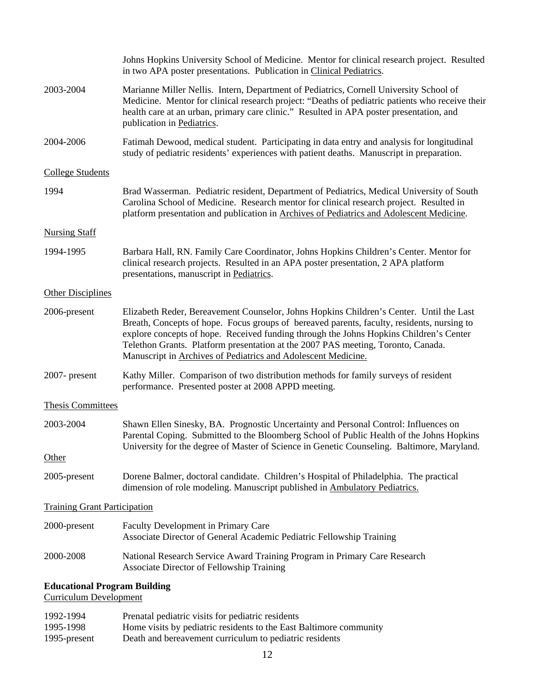|                                                                      | Johns Hopkins University School of Medicine. Mentor for clinical research project. Resulted<br>in two APA poster presentations. Publication in Clinical Pediatrics.                                                                                                                                                                                                                                                                  |
|----------------------------------------------------------------------|--------------------------------------------------------------------------------------------------------------------------------------------------------------------------------------------------------------------------------------------------------------------------------------------------------------------------------------------------------------------------------------------------------------------------------------|
| 2003-2004                                                            | Marianne Miller Nellis. Intern, Department of Pediatrics, Cornell University School of<br>Medicine. Mentor for clinical research project: "Deaths of pediatric patients who receive their<br>health care at an urban, primary care clinic." Resulted in APA poster presentation, and<br>publication in Pediatrics.                                                                                                                   |
| 2004-2006                                                            | Fatimah Dewood, medical student. Participating in data entry and analysis for longitudinal<br>study of pediatric residents' experiences with patient deaths. Manuscript in preparation.                                                                                                                                                                                                                                              |
| <b>College Students</b>                                              |                                                                                                                                                                                                                                                                                                                                                                                                                                      |
| 1994                                                                 | Brad Wasserman. Pediatric resident, Department of Pediatrics, Medical University of South<br>Carolina School of Medicine. Research mentor for clinical research project. Resulted in<br>platform presentation and publication in Archives of Pediatrics and Adolescent Medicine.                                                                                                                                                     |
| <b>Nursing Staff</b>                                                 |                                                                                                                                                                                                                                                                                                                                                                                                                                      |
| 1994-1995                                                            | Barbara Hall, RN. Family Care Coordinator, Johns Hopkins Children's Center. Mentor for<br>clinical research projects. Resulted in an APA poster presentation, 2 APA platform<br>presentations, manuscript in Pediatrics.                                                                                                                                                                                                             |
| <b>Other Disciplines</b>                                             |                                                                                                                                                                                                                                                                                                                                                                                                                                      |
| 2006-present                                                         | Elizabeth Reder, Bereavement Counselor, Johns Hopkins Children's Center. Until the Last<br>Breath, Concepts of hope. Focus groups of bereaved parents, faculty, residents, nursing to<br>explore concepts of hope. Received funding through the Johns Hopkins Children's Center<br>Telethon Grants. Platform presentation at the 2007 PAS meeting, Toronto, Canada.<br>Manuscript in Archives of Pediatrics and Adolescent Medicine. |
| 2007- present                                                        | Kathy Miller. Comparison of two distribution methods for family surveys of resident<br>performance. Presented poster at 2008 APPD meeting.                                                                                                                                                                                                                                                                                           |
| <b>Thesis Committees</b>                                             |                                                                                                                                                                                                                                                                                                                                                                                                                                      |
| 2003-2004                                                            | Shawn Ellen Sinesky, BA. Prognostic Uncertainty and Personal Control: Influences on<br>Parental Coping. Submitted to the Bloomberg School of Public Health of the Johns Hopkins<br>University for the degree of Master of Science in Genetic Counseling. Baltimore, Maryland.                                                                                                                                                        |
| <b>Other</b>                                                         |                                                                                                                                                                                                                                                                                                                                                                                                                                      |
| 2005-present                                                         | Dorene Balmer, doctoral candidate. Children's Hospital of Philadelphia. The practical<br>dimension of role modeling. Manuscript published in Ambulatory Pediatrics.                                                                                                                                                                                                                                                                  |
| <b>Training Grant Participation</b>                                  |                                                                                                                                                                                                                                                                                                                                                                                                                                      |
| 2000-present                                                         | Faculty Development in Primary Care<br>Associate Director of General Academic Pediatric Fellowship Training                                                                                                                                                                                                                                                                                                                          |
| 2000-2008                                                            | National Research Service Award Training Program in Primary Care Research<br>Associate Director of Fellowship Training                                                                                                                                                                                                                                                                                                               |
| <b>Educational Program Building</b><br><b>Curriculum Development</b> |                                                                                                                                                                                                                                                                                                                                                                                                                                      |
| 1992-1994                                                            | Prenatal pediatric visits for pediatric residents                                                                                                                                                                                                                                                                                                                                                                                    |

| <i>*******</i> | Trenden pediatric visits for pediatric residents                   |
|----------------|--------------------------------------------------------------------|
| 1995-1998      | Home visits by pediatric residents to the East Baltimore community |
| 1995-present   | Death and bereavement curriculum to pediatric residents            |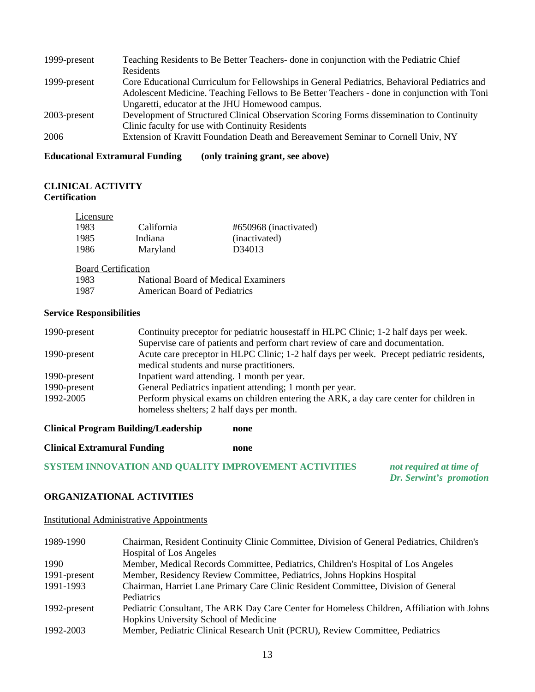| 1999-present | Teaching Residents to Be Better Teachers- done in conjunction with the Pediatric Chief       |
|--------------|----------------------------------------------------------------------------------------------|
|              | Residents                                                                                    |
| 1999-present | Core Educational Curriculum for Fellowships in General Pediatrics, Behavioral Pediatrics and |
|              | Adolescent Medicine. Teaching Fellows to Be Better Teachers - done in conjunction with Toni  |
|              | Ungaretti, educator at the JHU Homewood campus.                                              |
| 2003-present | Development of Structured Clinical Observation Scoring Forms dissemination to Continuity     |
|              | Clinic faculty for use with Continuity Residents                                             |
| 2006         | Extension of Kravitt Foundation Death and Bereavement Seminar to Cornell Univ, NY            |
|              |                                                                                              |

**Educational Extramural Funding (only training grant, see above)** 

# **CLINICAL ACTIVITY Certification**

| Licensure |            |                       |
|-----------|------------|-----------------------|
| 1983      | California | #650968 (inactivated) |
| 1985      | Indiana    | (inactivated)         |
| 1986      | Maryland   | D <sub>34013</sub>    |

Board Certification

| 1983                 |  |  |  | National Board of Medical Examiners |
|----------------------|--|--|--|-------------------------------------|
| $\sim$ $\sim$ $\sim$ |  |  |  |                                     |

| 1987<br><b>American Board of Pediatrics</b> |
|---------------------------------------------|
|---------------------------------------------|

# **Service Responsibilities**

| 1990-present | Continuity preceptor for pediatric housestaff in HLPC Clinic; 1-2 half days per week.     |  |  |
|--------------|-------------------------------------------------------------------------------------------|--|--|
|              | Supervise care of patients and perform chart review of care and documentation.            |  |  |
| 1990-present | Acute care preceptor in HLPC Clinic; 1-2 half days per week. Precept pediatric residents, |  |  |
|              | medical students and nurse practitioners.                                                 |  |  |
| 1990-present | Inpatient ward attending. 1 month per year.                                               |  |  |
| 1990-present | General Pediatrics inpatient attending; 1 month per year.                                 |  |  |
| 1992-2005    | Perform physical exams on children entering the ARK, a day care center for children in    |  |  |
|              | homeless shelters; 2 half days per month.                                                 |  |  |

**Clinical Program Building/Leadership none** 

**Clinical Extramural Funding none** 

**SYSTEM INNOVATION AND QUALITY IMPROVEMENT ACTIVITIES** *not required at time of* 

 *Dr. Serwint's promotion* 

# **ORGANIZATIONAL ACTIVITIES**

Institutional Administrative Appointments

| 1989-1990    | Chairman, Resident Continuity Clinic Committee, Division of General Pediatrics, Children's  |
|--------------|---------------------------------------------------------------------------------------------|
|              | <b>Hospital of Los Angeles</b>                                                              |
| 1990         | Member, Medical Records Committee, Pediatrics, Children's Hospital of Los Angeles           |
| 1991-present | Member, Residency Review Committee, Pediatrics, Johns Hopkins Hospital                      |
| 1991-1993    | Chairman, Harriet Lane Primary Care Clinic Resident Committee, Division of General          |
|              | Pediatrics                                                                                  |
| 1992-present | Pediatric Consultant, The ARK Day Care Center for Homeless Children, Affiliation with Johns |
|              | Hopkins University School of Medicine                                                       |
| 1992-2003    | Member, Pediatric Clinical Research Unit (PCRU), Review Committee, Pediatrics               |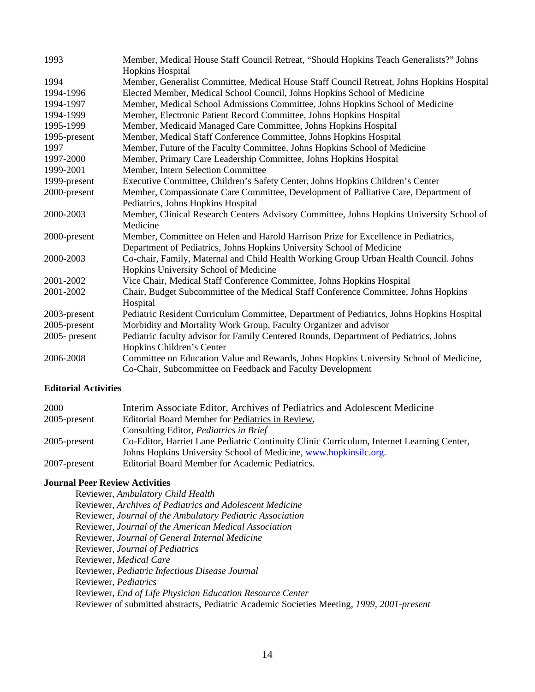| 1993         | Member, Medical House Staff Council Retreat, "Should Hopkins Teach Generalists?" Johns    |
|--------------|-------------------------------------------------------------------------------------------|
|              | Hopkins Hospital                                                                          |
| 1994         | Member, Generalist Committee, Medical House Staff Council Retreat, Johns Hopkins Hospital |
| 1994-1996    | Elected Member, Medical School Council, Johns Hopkins School of Medicine                  |
| 1994-1997    | Member, Medical School Admissions Committee, Johns Hopkins School of Medicine             |
| 1994-1999    | Member, Electronic Patient Record Committee, Johns Hopkins Hospital                       |
| 1995-1999    | Member, Medicaid Managed Care Committee, Johns Hopkins Hospital                           |
| 1995-present | Member, Medical Staff Conference Committee, Johns Hopkins Hospital                        |
| 1997         | Member, Future of the Faculty Committee, Johns Hopkins School of Medicine                 |
| 1997-2000    | Member, Primary Care Leadership Committee, Johns Hopkins Hospital                         |
| 1999-2001    | Member, Intern Selection Committee                                                        |
| 1999-present | Executive Committee, Children's Safety Center, Johns Hopkins Children's Center            |
| 2000-present | Member, Compassionate Care Committee, Development of Palliative Care, Department of       |
|              | Pediatrics, Johns Hopkins Hospital                                                        |
| 2000-2003    | Member, Clinical Research Centers Advisory Committee, Johns Hopkins University School of  |
|              | Medicine                                                                                  |
| 2000-present | Member, Committee on Helen and Harold Harrison Prize for Excellence in Pediatrics,        |
|              | Department of Pediatrics, Johns Hopkins University School of Medicine                     |
| 2000-2003    | Co-chair, Family, Maternal and Child Health Working Group Urban Health Council. Johns     |
|              | Hopkins University School of Medicine                                                     |
| 2001-2002    | Vice Chair, Medical Staff Conference Committee, Johns Hopkins Hospital                    |
| 2001-2002    | Chair, Budget Subcommittee of the Medical Staff Conference Committee, Johns Hopkins       |
|              | Hospital                                                                                  |
| 2003-present | Pediatric Resident Curriculum Committee, Department of Pediatrics, Johns Hopkins Hospital |
| 2005-present | Morbidity and Mortality Work Group, Faculty Organizer and advisor                         |
| 2005-present | Pediatric faculty advisor for Family Centered Rounds, Department of Pediatrics, Johns     |
|              | Hopkins Children's Center                                                                 |
| 2006-2008    | Committee on Education Value and Rewards, Johns Hopkins University School of Medicine,    |
|              | Co-Chair, Subcommittee on Feedback and Faculty Development                                |

### **Editorial Activities**

| 2000            | Interim Associate Editor, Archives of Pediatrics and Adolescent Medicine                  |
|-----------------|-------------------------------------------------------------------------------------------|
| $2005$ -present | Editorial Board Member for Pediatrics in Review,                                          |
|                 | Consulting Editor, <i>Pediatrics in Brief</i>                                             |
| $2005$ -present | Co-Editor, Harriet Lane Pediatric Continuity Clinic Curriculum, Internet Learning Center, |
|                 | Johns Hopkins University School of Medicine, www.hopkinsilc.org.                          |
| 2007-present    | Editorial Board Member for Academic Pediatrics.                                           |

### **Journal Peer Review Activities**

Reviewer, *Ambulatory Child Health* Reviewer, *Archives of Pediatrics and Adolescent Medicine* Reviewer, *Journal of the Ambulatory Pediatric Association* Reviewer, *Journal of the American Medical Association*  Reviewer*, Journal of General Internal Medicine*  Reviewer*, Journal of Pediatrics* Reviewer, *Medical Care* Reviewer, *Pediatric Infectious Disease Journal* Reviewer, *Pediatrics*  Reviewer, *End of Life Physician Education Resource Center*  Reviewer of submitted abstracts, Pediatric Academic Societies Meeting, *1999, 2001-present*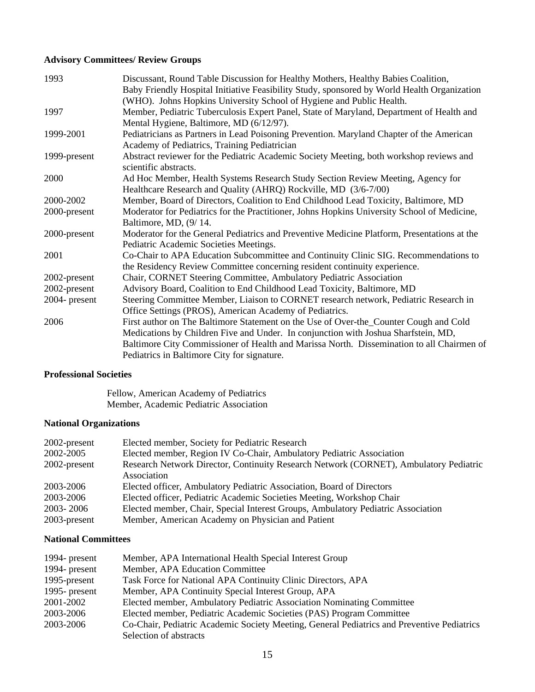# **Advisory Committees/ Review Groups**

| 1993          | Discussant, Round Table Discussion for Healthy Mothers, Healthy Babies Coalition,           |
|---------------|---------------------------------------------------------------------------------------------|
|               | Baby Friendly Hospital Initiative Feasibility Study, sponsored by World Health Organization |
|               | (WHO). Johns Hopkins University School of Hygiene and Public Health.                        |
| 1997          | Member, Pediatric Tuberculosis Expert Panel, State of Maryland, Department of Health and    |
|               | Mental Hygiene, Baltimore, MD (6/12/97).                                                    |
| 1999-2001     | Pediatricians as Partners in Lead Poisoning Prevention. Maryland Chapter of the American    |
|               | Academy of Pediatrics, Training Pediatrician                                                |
| 1999-present  | Abstract reviewer for the Pediatric Academic Society Meeting, both workshop reviews and     |
|               | scientific abstracts.                                                                       |
| 2000          | Ad Hoc Member, Health Systems Research Study Section Review Meeting, Agency for             |
|               | Healthcare Research and Quality (AHRQ) Rockville, MD (3/6-7/00)                             |
| 2000-2002     | Member, Board of Directors, Coalition to End Childhood Lead Toxicity, Baltimore, MD         |
| 2000-present  | Moderator for Pediatrics for the Practitioner, Johns Hopkins University School of Medicine, |
|               | Baltimore, MD, (9/14.                                                                       |
| 2000-present  | Moderator for the General Pediatrics and Preventive Medicine Platform, Presentations at the |
|               | Pediatric Academic Societies Meetings.                                                      |
| 2001          | Co-Chair to APA Education Subcommittee and Continuity Clinic SIG. Recommendations to        |
|               | the Residency Review Committee concerning resident continuity experience.                   |
| 2002-present  | Chair, CORNET Steering Committee, Ambulatory Pediatric Association                          |
| 2002-present  | Advisory Board, Coalition to End Childhood Lead Toxicity, Baltimore, MD                     |
| 2004- present | Steering Committee Member, Liaison to CORNET research network, Pediatric Research in        |
|               | Office Settings (PROS), American Academy of Pediatrics.                                     |
| 2006          | First author on The Baltimore Statement on the Use of Over-the_Counter Cough and Cold       |
|               | Medications by Children Five and Under. In conjunction with Joshua Sharfstein, MD,          |
|               | Baltimore City Commissioner of Health and Marissa North. Dissemination to all Chairmen of   |
|               | Pediatrics in Baltimore City for signature.                                                 |

# **Professional Societies**

Fellow, American Academy of Pediatrics Member, Academic Pediatric Association

# **National Organizations**

| 2002-present | Elected member, Society for Pediatric Research                                                       |
|--------------|------------------------------------------------------------------------------------------------------|
| 2002-2005    | Elected member, Region IV Co-Chair, Ambulatory Pediatric Association                                 |
| 2002-present | Research Network Director, Continuity Research Network (CORNET), Ambulatory Pediatric<br>Association |
| 2003-2006    | Elected officer, Ambulatory Pediatric Association, Board of Directors                                |
| 2003-2006    | Elected officer, Pediatric Academic Societies Meeting, Workshop Chair                                |
| 2003-2006    | Elected member, Chair, Special Interest Groups, Ambulatory Pediatric Association                     |
| 2003-present | Member, American Academy on Physician and Patient                                                    |

# **National Committees**

| 1994- present | Member, APA International Health Special Interest Group                                    |
|---------------|--------------------------------------------------------------------------------------------|
| 1994- present | Member, APA Education Committee                                                            |
| 1995-present  | Task Force for National APA Continuity Clinic Directors, APA                               |
| 1995- present | Member, APA Continuity Special Interest Group, APA                                         |
| 2001-2002     | Elected member, Ambulatory Pediatric Association Nominating Committee                      |
| 2003-2006     | Elected member, Pediatric Academic Societies (PAS) Program Committee                       |
| 2003-2006     | Co-Chair, Pediatric Academic Society Meeting, General Pediatrics and Preventive Pediatrics |
|               | Selection of abstracts                                                                     |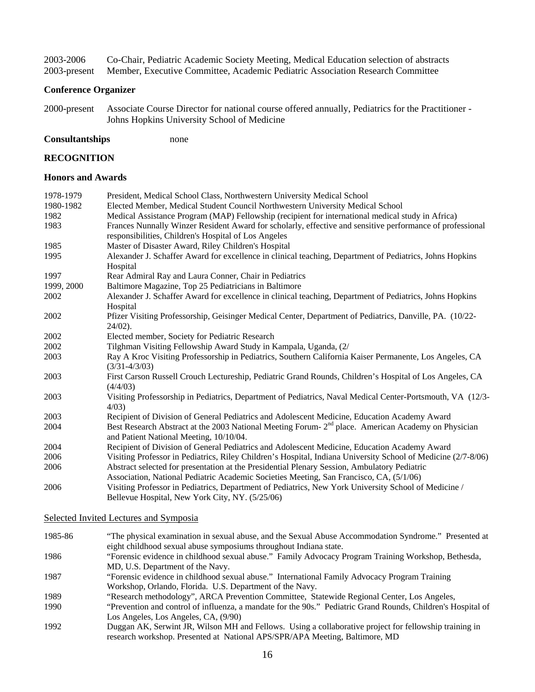| 2003-2006    | Co-Chair, Pediatric Academic Society Meeting, Medical Education selection of abstracts |
|--------------|----------------------------------------------------------------------------------------|
| 2003-present | Member, Executive Committee, Academic Pediatric Association Research Committee         |

#### **Conference Organizer**

- 2000-present Associate Course Director for national course offered annually, Pediatrics for the Practitioner Johns Hopkins University School of Medicine
- **Consultantships** none

#### **RECOGNITION**

#### **Honors and Awards**

| 1978-1979  | President, Medical School Class, Northwestern University Medical School                                                |
|------------|------------------------------------------------------------------------------------------------------------------------|
| 1980-1982  | Elected Member, Medical Student Council Northwestern University Medical School                                         |
| 1982       | Medical Assistance Program (MAP) Fellowship (recipient for international medical study in Africa)                      |
| 1983       | Frances Nunnally Winzer Resident Award for scholarly, effective and sensitive performance of professional              |
|            | responsibilities, Children's Hospital of Los Angeles                                                                   |
| 1985       | Master of Disaster Award, Riley Children's Hospital                                                                    |
| 1995       | Alexander J. Schaffer Award for excellence in clinical teaching, Department of Pediatrics, Johns Hopkins               |
|            | Hospital                                                                                                               |
| 1997       | Rear Admiral Ray and Laura Conner, Chair in Pediatrics                                                                 |
| 1999, 2000 | Baltimore Magazine, Top 25 Pediatricians in Baltimore                                                                  |
| 2002       | Alexander J. Schaffer Award for excellence in clinical teaching, Department of Pediatrics, Johns Hopkins               |
|            | Hospital                                                                                                               |
| 2002       | Pfizer Visiting Professorship, Geisinger Medical Center, Department of Pediatrics, Danville, PA. (10/22-               |
|            | $24/02$ ).                                                                                                             |
| 2002       | Elected member, Society for Pediatric Research                                                                         |
| 2002       | Tilghman Visiting Fellowship Award Study in Kampala, Uganda, (2/                                                       |
| 2003       | Ray A Kroc Visiting Professorship in Pediatrics, Southern California Kaiser Permanente, Los Angeles, CA                |
|            | $(3/31 - 4/3/03)$                                                                                                      |
| 2003       | First Carson Russell Crouch Lectureship, Pediatric Grand Rounds, Children's Hospital of Los Angeles, CA                |
|            | (4/4/03)                                                                                                               |
| 2003       | Visiting Professorship in Pediatrics, Department of Pediatrics, Naval Medical Center-Portsmouth, VA (12/3-<br>$4/03$ ) |
| 2003       | Recipient of Division of General Pediatrics and Adolescent Medicine, Education Academy Award                           |
| 2004       | Best Research Abstract at the 2003 National Meeting Forum- 2 <sup>nd</sup> place. American Academy on Physician        |
|            | and Patient National Meeting, 10/10/04.                                                                                |
| 2004       | Recipient of Division of General Pediatrics and Adolescent Medicine, Education Academy Award                           |
| 2006       | Visiting Professor in Pediatrics, Riley Children's Hospital, Indiana University School of Medicine (2/7-8/06)          |
| 2006       | Abstract selected for presentation at the Presidential Plenary Session, Ambulatory Pediatric                           |
|            | Association, National Pediatric Academic Societies Meeting, San Francisco, CA, (5/1/06)                                |
| 2006       | Visiting Professor in Pediatrics, Department of Pediatrics, New York University School of Medicine /                   |
|            | Bellevue Hospital, New York City, NY. (5/25/06)                                                                        |

Selected Invited Lectures and Symposia

- 1985-86 "The physical examination in sexual abuse, and the Sexual Abuse Accommodation Syndrome." Presented at eight childhood sexual abuse symposiums throughout Indiana state.
- 1986 "Forensic evidence in childhood sexual abuse." Family Advocacy Program Training Workshop, Bethesda, MD, U.S. Department of the Navy.
- 1987 "Forensic evidence in childhood sexual abuse." International Family Advocacy Program Training Workshop, Orlando, Florida. U.S. Department of the Navy.
- 1989 "Research methodology", ARCA Prevention Committee, Statewide Regional Center, Los Angeles,
- 1990 "Prevention and control of influenza, a mandate for the 90s." Pediatric Grand Rounds, Children's Hospital of Los Angeles, Los Angeles, CA, (9/90)
- 1992 Duggan AK, Serwint JR, Wilson MH and Fellows. Using a collaborative project for fellowship training in research workshop. Presented at National APS/SPR/APA Meeting, Baltimore, MD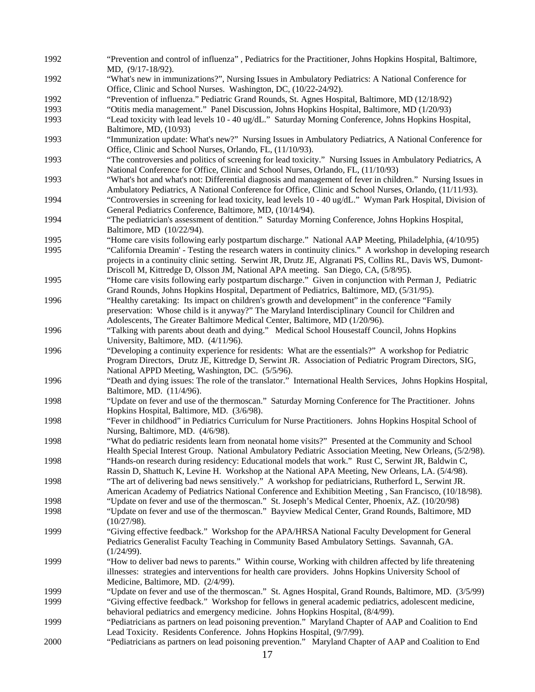1992 "Prevention and control of influenza" , Pediatrics for the Practitioner, Johns Hopkins Hospital, Baltimore, MD, (9/17-18/92). 1992 "What's new in immunizations?", Nursing Issues in Ambulatory Pediatrics: A National Conference for Office, Clinic and School Nurses. Washington, DC, (10/22-24/92). 1992 "Prevention of influenza." Pediatric Grand Rounds, St. Agnes Hospital, Baltimore, MD (12/18/92) 1993 "Otitis media management." Panel Discussion, Johns Hopkins Hospital, Baltimore, MD (1/20/93) 1993 "Lead toxicity with lead levels 10 - 40 ug/dL." Saturday Morning Conference, Johns Hopkins Hospital, Baltimore, MD, (10/93) 1993 "Immunization update: What's new?" Nursing Issues in Ambulatory Pediatrics, A National Conference for Office, Clinic and School Nurses, Orlando, FL, (11/10/93). 1993 "The controversies and politics of screening for lead toxicity." Nursing Issues in Ambulatory Pediatrics, A National Conference for Office, Clinic and School Nurses, Orlando, FL, (11/10/93) 1993 "What's hot and what's not: Differential diagnosis and management of fever in children." Nursing Issues in Ambulatory Pediatrics, A National Conference for Office, Clinic and School Nurses, Orlando, (11/11/93). 1994 "Controversies in screening for lead toxicity, lead levels 10 - 40 ug/dL." Wyman Park Hospital, Division of General Pediatrics Conference, Baltimore, MD, (10/14/94). 1994 "The pediatrician's assessment of dentition." Saturday Morning Conference, Johns Hopkins Hospital, Baltimore, MD (10/22/94). 1995 "Home care visits following early postpartum discharge." National AAP Meeting, Philadelphia, (4/10/95) 1995 "California Dreamin' - Testing the research waters in continuity clinics." A workshop in developing research projects in a continuity clinic setting. Serwint JR, Drutz JE, Algranati PS, Collins RL, Davis WS, Dumont-Driscoll M, Kittredge D, Olsson JM, National APA meeting. San Diego, CA, (5/8/95). 1995 "Home care visits following early postpartum discharge." Given in conjunction with Perman J, Pediatric Grand Rounds, Johns Hopkins Hospital, Department of Pediatrics, Baltimore, MD, (5/31/95). 1996 "Healthy caretaking: Its impact on children's growth and development" in the conference "Family preservation: Whose child is it anyway?" The Maryland Interdisciplinary Council for Children and Adolescents, The Greater Baltimore Medical Center, Baltimore, MD (1/20/96). 1996 "Talking with parents about death and dying." Medical School Housestaff Council, Johns Hopkins University, Baltimore, MD. (4/11/96). 1996 "Developing a continuity experience for residents: What are the essentials?" A workshop for Pediatric Program Directors, Drutz JE, Kittredge D, Serwint JR. Association of Pediatric Program Directors, SIG, National APPD Meeting, Washington, DC. (5/5/96). 1996 "Death and dying issues: The role of the translator." International Health Services, Johns Hopkins Hospital, Baltimore, MD. (11/4/96). 1998 "Update on fever and use of the thermoscan." Saturday Morning Conference for The Practitioner. Johns Hopkins Hospital, Baltimore, MD. (3/6/98). 1998 "Fever in childhood" in Pediatrics Curriculum for Nurse Practitioners. Johns Hopkins Hospital School of Nursing, Baltimore, MD. (4/6/98). 1998 "What do pediatric residents learn from neonatal home visits?" Presented at the Community and School Health Special Interest Group. National Ambulatory Pediatric Association Meeting, New Orleans, (5/2/98). 1998 "Hands-on research during residency: Educational models that work." Rust C, Serwint JR, Baldwin C, Rassin D, Shattuch K, Levine H. Workshop at the National APA Meeting, New Orleans, LA. (5/4/98). 1998 "The art of delivering bad news sensitively." A workshop for pediatricians, Rutherford L, Serwint JR. American Academy of Pediatrics National Conference and Exhibition Meeting , San Francisco, (10/18/98). 1998 "Update on fever and use of the thermoscan." St. Joseph's Medical Center, Phoenix, AZ. (10/20/98) 1998 "Update on fever and use of the thermoscan." Bayview Medical Center, Grand Rounds, Baltimore, MD (10/27/98). 1999 "Giving effective feedback." Workshop for the APA/HRSA National Faculty Development for General Pediatrics Generalist Faculty Teaching in Community Based Ambulatory Settings. Savannah, GA. (1/24/99). 1999 "How to deliver bad news to parents." Within course, Working with children affected by life threatening illnesses: strategies and interventions for health care providers. Johns Hopkins University School of Medicine, Baltimore, MD. (2/4/99). 1999 "Update on fever and use of the thermoscan." St. Agnes Hospital, Grand Rounds, Baltimore, MD. (3/5/99) 1999 "Giving effective feedback." Workshop for fellows in general academic pediatrics, adolescent medicine, behavioral pediatrics and emergency medicine. Johns Hopkins Hospital, (8/4/99). 1999 "Pediatricians as partners on lead poisoning prevention." Maryland Chapter of AAP and Coalition to End Lead Toxicity. Residents Conference. Johns Hopkins Hospital, (9/7/99). 2000 "Pediatricians as partners on lead poisoning prevention." Maryland Chapter of AAP and Coalition to End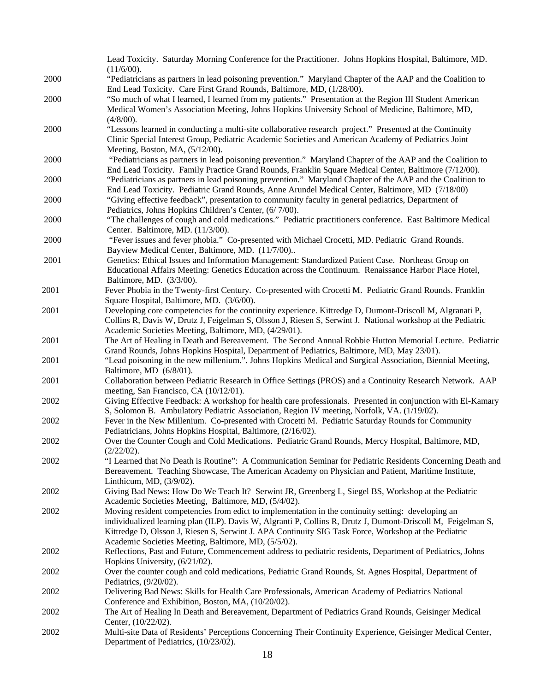|      | Lead Toxicity. Saturday Morning Conference for the Practitioner. Johns Hopkins Hospital, Baltimore, MD.      |
|------|--------------------------------------------------------------------------------------------------------------|
|      | (11/6/00).                                                                                                   |
| 2000 | "Pediatricians as partners in lead poisoning prevention." Maryland Chapter of the AAP and the Coalition to   |
|      | End Lead Toxicity. Care First Grand Rounds, Baltimore, MD, (1/28/00).                                        |
| 2000 | "So much of what I learned, I learned from my patients." Presentation at the Region III Student American     |
|      | Medical Women's Association Meeting, Johns Hopkins University School of Medicine, Baltimore, MD,             |
|      | $(4/8/00)$ .                                                                                                 |
| 2000 | "Lessons learned in conducting a multi-site collaborative research project." Presented at the Continuity     |
|      | Clinic Special Interest Group, Pediatric Academic Societies and American Academy of Pediatrics Joint         |
|      | Meeting, Boston, MA, (5/12/00).                                                                              |
| 2000 | "Pediatricians as partners in lead poisoning prevention." Maryland Chapter of the AAP and the Coalition to   |
|      |                                                                                                              |
|      | End Lead Toxicity. Family Practice Grand Rounds, Franklin Square Medical Center, Baltimore (7/12/00).        |
| 2000 | "Pediatricians as partners in lead poisoning prevention." Maryland Chapter of the AAP and the Coalition to   |
|      | End Lead Toxicity. Pediatric Grand Rounds, Anne Arundel Medical Center, Baltimore, MD (7/18/00)              |
| 2000 | "Giving effective feedback", presentation to community faculty in general pediatrics, Department of          |
|      | Pediatrics, Johns Hopkins Children's Center, (6/7/00).                                                       |
| 2000 | "The challenges of cough and cold medications." Pediatric practitioners conference. East Baltimore Medical   |
|      | Center. Baltimore, MD. (11/3/00).                                                                            |
| 2000 | "Fever issues and fever phobia." Co-presented with Michael Crocetti, MD. Pediatric Grand Rounds.             |
|      | Bayview Medical Center, Baltimore, MD. (11/7/00)                                                             |
| 2001 | Genetics: Ethical Issues and Information Management: Standardized Patient Case. Northeast Group on           |
|      | Educational Affairs Meeting: Genetics Education across the Continuum. Renaissance Harbor Place Hotel,        |
|      | Baltimore, MD. (3/3/00).                                                                                     |
| 2001 | Fever Phobia in the Twenty-first Century. Co-presented with Crocetti M. Pediatric Grand Rounds. Franklin     |
|      | Square Hospital, Baltimore, MD. (3/6/00).                                                                    |
| 2001 | Developing core competencies for the continuity experience. Kittredge D, Dumont-Driscoll M, Algranati P,     |
|      | Collins R, Davis W, Drutz J, Feigelman S, Olsson J, Riesen S, Serwint J. National workshop at the Pediatric  |
|      | Academic Societies Meeting, Baltimore, MD, (4/29/01).                                                        |
| 2001 | The Art of Healing in Death and Bereavement. The Second Annual Robbie Hutton Memorial Lecture. Pediatric     |
|      | Grand Rounds, Johns Hopkins Hospital, Department of Pediatrics, Baltimore, MD, May 23/01).                   |
| 2001 | "Lead poisoning in the new millenium.". Johns Hopkins Medical and Surgical Association, Biennial Meeting,    |
|      |                                                                                                              |
|      | Baltimore, MD (6/8/01).                                                                                      |
| 2001 | Collaboration between Pediatric Research in Office Settings (PROS) and a Continuity Research Network. AAP    |
|      | meeting, San Francisco, CA (10/12/01).                                                                       |
| 2002 | Giving Effective Feedback: A workshop for health care professionals. Presented in conjunction with El-Kamary |
|      | S, Solomon B. Ambulatory Pediatric Association, Region IV meeting, Norfolk, VA. (1/19/02).                   |
| 2002 | Fever in the New Millenium. Co-presented with Crocetti M. Pediatric Saturday Rounds for Community            |
|      | Pediatricians, Johns Hopkins Hospital, Baltimore, (2/16/02).                                                 |
| 2002 | Over the Counter Cough and Cold Medications. Pediatric Grand Rounds, Mercy Hospital, Baltimore, MD,          |
|      | (2/22/02).                                                                                                   |
| 2002 | "I Learned that No Death is Routine": A Communication Seminar for Pediatric Residents Concerning Death and   |
|      | Bereavement. Teaching Showcase, The American Academy on Physician and Patient, Maritime Institute,           |
|      | Linthicum, MD, (3/9/02).                                                                                     |
| 2002 | Giving Bad News: How Do We Teach It? Serwint JR, Greenberg L, Siegel BS, Workshop at the Pediatric           |
|      | Academic Societies Meeting, Baltimore, MD, (5/4/02).                                                         |
| 2002 | Moving resident competencies from edict to implementation in the continuity setting: developing an           |
|      | individualized learning plan (ILP). Davis W, Algranti P, Collins R, Drutz J, Dumont-Driscoll M, Feigelman S, |
|      | Kittredge D, Olsson J, Riesen S, Serwint J. APA Continuity SIG Task Force, Workshop at the Pediatric         |
|      | Academic Societies Meeting, Baltimore, MD, (5/5/02).                                                         |
| 2002 | Reflections, Past and Future, Commencement address to pediatric residents, Department of Pediatrics, Johns   |
|      | Hopkins University, (6/21/02).                                                                               |
| 2002 | Over the counter cough and cold medications, Pediatric Grand Rounds, St. Agnes Hospital, Department of       |
|      | Pediatrics, (9/20/02).                                                                                       |
| 2002 | Delivering Bad News: Skills for Health Care Professionals, American Academy of Pediatrics National           |
|      | Conference and Exhibition, Boston, MA, (10/20/02).                                                           |
|      | The Art of Healing In Death and Bereavement, Department of Pediatrics Grand Rounds, Geisinger Medical        |
| 2002 |                                                                                                              |
|      | Center, (10/22/02).                                                                                          |
| 2002 | Multi-site Data of Residents' Perceptions Concerning Their Continuity Experience, Geisinger Medical Center,  |
|      | Department of Pediatrics, (10/23/02).                                                                        |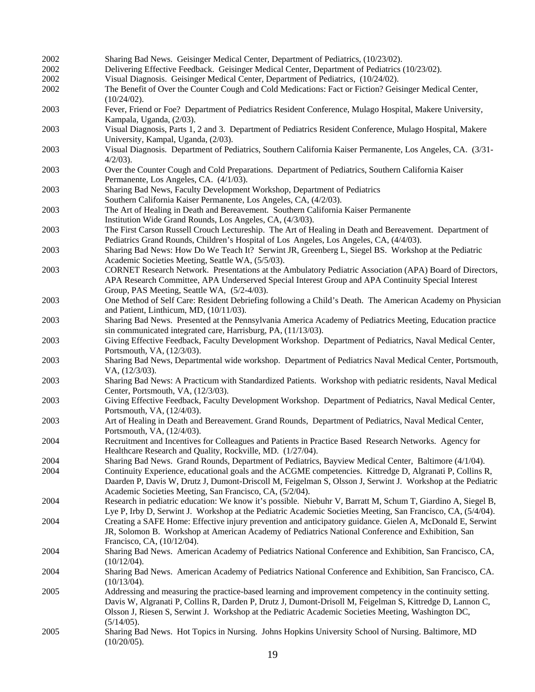| 2002 | Sharing Bad News. Geisinger Medical Center, Department of Pediatrics, (10/23/02).                                                                                                                                                                                                                                                            |
|------|----------------------------------------------------------------------------------------------------------------------------------------------------------------------------------------------------------------------------------------------------------------------------------------------------------------------------------------------|
| 2002 | Delivering Effective Feedback. Geisinger Medical Center, Department of Pediatrics (10/23/02).                                                                                                                                                                                                                                                |
| 2002 | Visual Diagnosis. Geisinger Medical Center, Department of Pediatrics, (10/24/02).                                                                                                                                                                                                                                                            |
| 2002 | The Benefit of Over the Counter Cough and Cold Medications: Fact or Fiction? Geisinger Medical Center,<br>$(10/24/02)$ .                                                                                                                                                                                                                     |
| 2003 | Fever, Friend or Foe? Department of Pediatrics Resident Conference, Mulago Hospital, Makere University,<br>Kampala, Uganda, (2/03).                                                                                                                                                                                                          |
| 2003 | Visual Diagnosis, Parts 1, 2 and 3. Department of Pediatrics Resident Conference, Mulago Hospital, Makere<br>University, Kampal, Uganda, (2/03).                                                                                                                                                                                             |
| 2003 | Visual Diagnosis. Department of Pediatrics, Southern California Kaiser Permanente, Los Angeles, CA. (3/31-<br>$4/2/03$ ).                                                                                                                                                                                                                    |
| 2003 | Over the Counter Cough and Cold Preparations. Department of Pediatrics, Southern California Kaiser<br>Permanente, Los Angeles, CA. (4/1/03).                                                                                                                                                                                                 |
| 2003 | Sharing Bad News, Faculty Development Workshop, Department of Pediatrics<br>Southern California Kaiser Permanente, Los Angeles, CA, (4/2/03).                                                                                                                                                                                                |
| 2003 | The Art of Healing in Death and Bereavement. Southern California Kaiser Permanente<br>Institution Wide Grand Rounds, Los Angeles, CA, (4/3/03).                                                                                                                                                                                              |
| 2003 | The First Carson Russell Crouch Lectureship. The Art of Healing in Death and Bereavement. Department of<br>Pediatrics Grand Rounds, Children's Hospital of Los Angeles, Los Angeles, CA, (4/4/03).                                                                                                                                           |
| 2003 | Sharing Bad News: How Do We Teach It? Serwint JR, Greenberg L, Siegel BS. Workshop at the Pediatric<br>Academic Societies Meeting, Seattle WA, (5/5/03).                                                                                                                                                                                     |
| 2003 | CORNET Research Network. Presentations at the Ambulatory Pediatric Association (APA) Board of Directors,<br>APA Research Committee, APA Underserved Special Interest Group and APA Continuity Special Interest                                                                                                                               |
| 2003 | Group, PAS Meeting, Seattle WA, (5/2-4/03).<br>One Method of Self Care: Resident Debriefing following a Child's Death. The American Academy on Physician<br>and Patient, Linthicum, MD, (10/11/03).                                                                                                                                          |
| 2003 | Sharing Bad News. Presented at the Pennsylvania America Academy of Pediatrics Meeting, Education practice<br>sin communicated integrated care, Harrisburg, PA, (11/13/03).                                                                                                                                                                   |
| 2003 | Giving Effective Feedback, Faculty Development Workshop. Department of Pediatrics, Naval Medical Center,<br>Portsmouth, VA, (12/3/03).                                                                                                                                                                                                       |
| 2003 | Sharing Bad News, Departmental wide workshop. Department of Pediatrics Naval Medical Center, Portsmouth,<br>VA, (12/3/03).                                                                                                                                                                                                                   |
| 2003 | Sharing Bad News: A Practicum with Standardized Patients. Workshop with pediatric residents, Naval Medical<br>Center, Portsmouth, VA, (12/3/03).                                                                                                                                                                                             |
| 2003 | Giving Effective Feedback, Faculty Development Workshop. Department of Pediatrics, Naval Medical Center,<br>Portsmouth, VA, (12/4/03).                                                                                                                                                                                                       |
| 2003 | Art of Healing in Death and Bereavement. Grand Rounds, Department of Pediatrics, Naval Medical Center,<br>Portsmouth, VA, (12/4/03).                                                                                                                                                                                                         |
| 2004 | Recruitment and Incentives for Colleagues and Patients in Practice Based Research Networks. Agency for<br>Healthcare Research and Quality, Rockville, MD. (1/27/04).                                                                                                                                                                         |
| 2004 | Sharing Bad News. Grand Rounds, Department of Pediatrics, Bayview Medical Center, Baltimore (4/1/04).                                                                                                                                                                                                                                        |
| 2004 | Continuity Experience, educational goals and the ACGME competencies. Kittredge D, Algranati P, Collins R,<br>Daarden P, Davis W, Drutz J, Dumont-Driscoll M, Feigelman S, Olsson J, Serwint J. Workshop at the Pediatric<br>Academic Societies Meeting, San Francisco, CA, (5/2/04).                                                         |
| 2004 | Research in pediatric education: We know it's possible. Niebuhr V, Barratt M, Schum T, Giardino A, Siegel B,<br>Lye P, Irby D, Serwint J. Workshop at the Pediatric Academic Societies Meeting, San Francisco, CA, (5/4/04).                                                                                                                 |
| 2004 | Creating a SAFE Home: Effective injury prevention and anticipatory guidance. Gielen A, McDonald E, Serwint<br>JR, Solomon B. Workshop at American Academy of Pediatrics National Conference and Exhibition, San<br>Francisco, CA, (10/12/04).                                                                                                |
| 2004 | Sharing Bad News. American Academy of Pediatrics National Conference and Exhibition, San Francisco, CA,<br>(10/12/04).                                                                                                                                                                                                                       |
| 2004 | Sharing Bad News. American Academy of Pediatrics National Conference and Exhibition, San Francisco, CA.<br>(10/13/04).                                                                                                                                                                                                                       |
| 2005 | Addressing and measuring the practice-based learning and improvement competency in the continuity setting.<br>Davis W, Algranati P, Collins R, Darden P, Drutz J, Dumont-Drisoll M, Feigelman S, Kittredge D, Lannon C,<br>Olsson J, Riesen S, Serwint J. Workshop at the Pediatric Academic Societies Meeting, Washington DC,<br>(5/14/05). |
| 2005 | Sharing Bad News. Hot Topics in Nursing. Johns Hopkins University School of Nursing. Baltimore, MD<br>(10/20/05).                                                                                                                                                                                                                            |